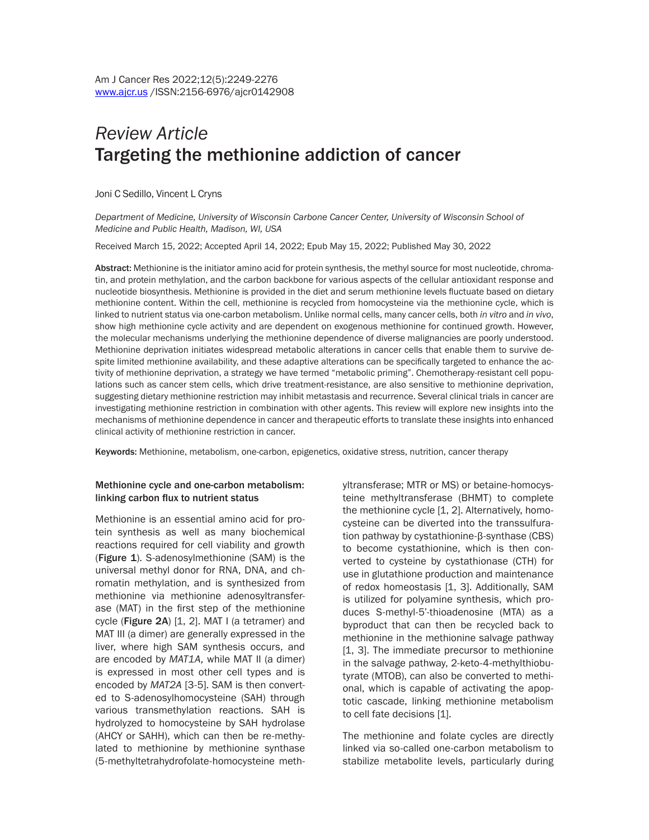# *Review Article* Targeting the methionine addiction of cancer

Joni C Sedillo, Vincent L Cryns

*Department of Medicine, University of Wisconsin Carbone Cancer Center, University of Wisconsin School of Medicine and Public Health, Madison, WI, USA*

Received March 15, 2022; Accepted April 14, 2022; Epub May 15, 2022; Published May 30, 2022

Abstract: Methionine is the initiator amino acid for protein synthesis, the methyl source for most nucleotide, chromatin, and protein methylation, and the carbon backbone for various aspects of the cellular antioxidant response and nucleotide biosynthesis. Methionine is provided in the diet and serum methionine levels fluctuate based on dietary methionine content. Within the cell, methionine is recycled from homocysteine via the methionine cycle, which is linked to nutrient status via one-carbon metabolism. Unlike normal cells, many cancer cells, both *in vitro* and *in vivo*, show high methionine cycle activity and are dependent on exogenous methionine for continued growth. However, the molecular mechanisms underlying the methionine dependence of diverse malignancies are poorly understood. Methionine deprivation initiates widespread metabolic alterations in cancer cells that enable them to survive despite limited methionine availability, and these adaptive alterations can be specifically targeted to enhance the activity of methionine deprivation, a strategy we have termed "metabolic priming". Chemotherapy-resistant cell populations such as cancer stem cells, which drive treatment-resistance, are also sensitive to methionine deprivation, suggesting dietary methionine restriction may inhibit metastasis and recurrence. Several clinical trials in cancer are investigating methionine restriction in combination with other agents. This review will explore new insights into the mechanisms of methionine dependence in cancer and therapeutic efforts to translate these insights into enhanced clinical activity of methionine restriction in cancer.

Keywords: Methionine, metabolism, one-carbon, epigenetics, oxidative stress, nutrition, cancer therapy

#### Methionine cycle and one-carbon metabolism: linking carbon flux to nutrient status

Methionine is an essential amino acid for protein synthesis as well as many biochemical reactions required for cell viability and growth (Figure 1). S-adenosylmethionine (SAM) is the universal methyl donor for RNA, DNA, and chromatin methylation, and is synthesized from methionine via methionine adenosyltransferase (MAT) in the first step of the methionine cycle (Figure 2A) [1, 2]. MAT I (a tetramer) and MAT III (a dimer) are generally expressed in the liver, where high SAM synthesis occurs, and are encoded by *MAT1A,* while MAT II (a dimer) is expressed in most other cell types and is encoded by *MAT2A* [3-5]. SAM is then converted to S-adenosylhomocysteine (SAH) through various transmethylation reactions. SAH is hydrolyzed to homocysteine by SAH hydrolase (AHCY or SAHH), which can then be re-methylated to methionine by methionine synthase (5-methyltetrahydrofolate-homocysteine methyltransferase; MTR or MS) or betaine-homocysteine methyltransferase (BHMT) to complete the methionine cycle [1, 2]. Alternatively, homocysteine can be diverted into the transsulfuration pathway by cystathionine-β-synthase (CBS) to become cystathionine, which is then converted to cysteine by cystathionase (CTH) for use in glutathione production and maintenance of redox homeostasis [1, 3]. Additionally, SAM is utilized for polyamine synthesis, which produces S-methyl-5'-thioadenosine (MTA) as a byproduct that can then be recycled back to methionine in the methionine salvage pathway [1, 3]. The immediate precursor to methionine in the salvage pathway, 2-keto-4-methylthiobutyrate (MTOB), can also be converted to methional, which is capable of activating the apoptotic cascade, linking methionine metabolism to cell fate decisions [1].

The methionine and folate cycles are directly linked via so-called one-carbon metabolism to stabilize metabolite levels, particularly during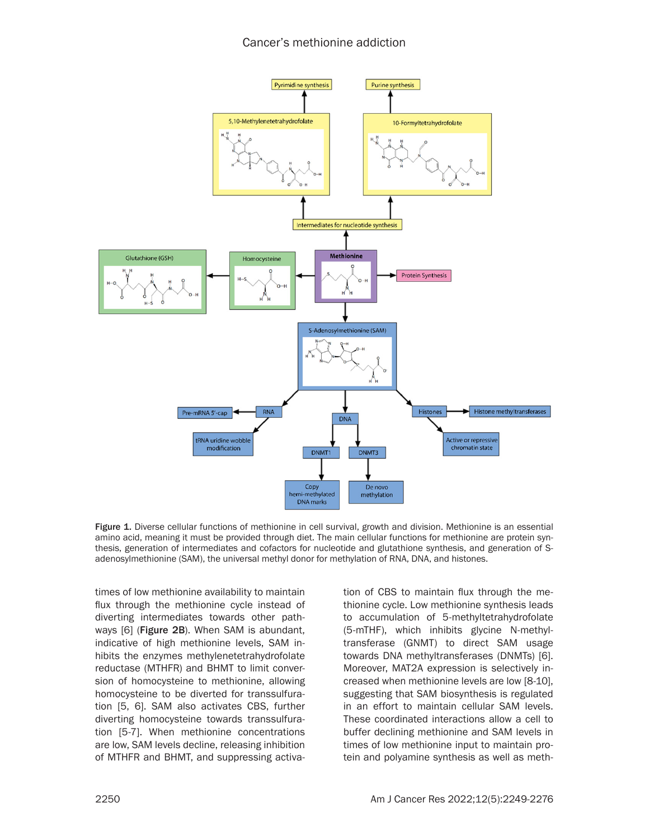

Figure 1. Diverse cellular functions of methionine in cell survival, growth and division. Methionine is an essential amino acid, meaning it must be provided through diet. The main cellular functions for methionine are protein synthesis, generation of intermediates and cofactors for nucleotide and glutathione synthesis, and generation of Sadenosylmethionine (SAM), the universal methyl donor for methylation of RNA, DNA, and histones.

times of low methionine availability to maintain flux through the methionine cycle instead of diverting intermediates towards other pathways [6] (Figure 2B). When SAM is abundant, indicative of high methionine levels, SAM inhibits the enzymes methylenetetrahydrofolate reductase (MTHFR) and BHMT to limit conversion of homocysteine to methionine, allowing homocysteine to be diverted for transsulfuration [5, 6]. SAM also activates CBS, further diverting homocysteine towards transsulfuration [5-7]. When methionine concentrations are low, SAM levels decline, releasing inhibition of MTHFR and BHMT, and suppressing activation of CBS to maintain flux through the methionine cycle. Low methionine synthesis leads to accumulation of 5-methyltetrahydrofolate (5-mTHF), which inhibits glycine N-methyltransferase (GNMT) to direct SAM usage towards DNA methyltransferases (DNMTs) [6]. Moreover, MAT2A expression is selectively increased when methionine levels are low [8-10], suggesting that SAM biosynthesis is regulated in an effort to maintain cellular SAM levels. These coordinated interactions allow a cell to buffer declining methionine and SAM levels in times of low methionine input to maintain protein and polyamine synthesis as well as meth-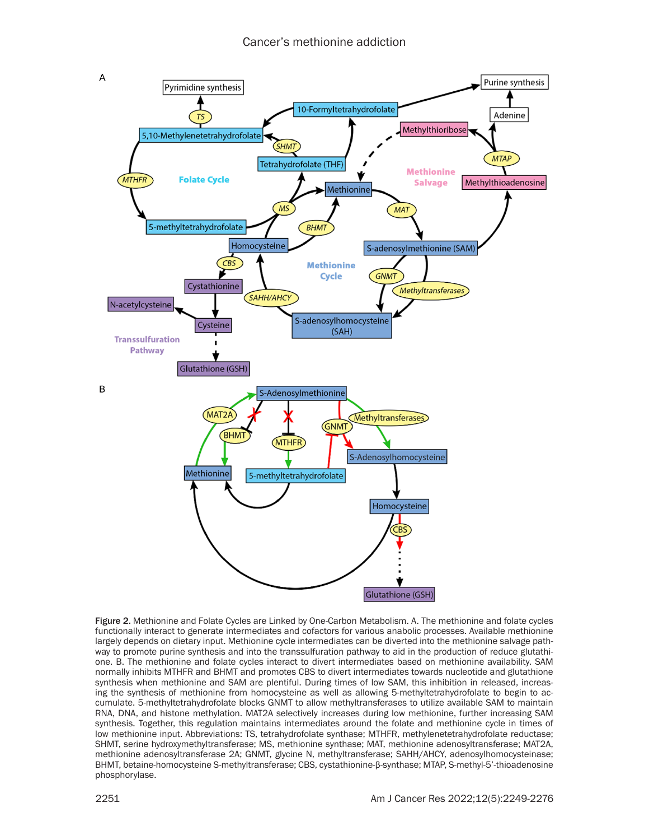

Figure 2. Methionine and Folate Cycles are Linked by One-Carbon Metabolism. A. The methionine and folate cycles functionally interact to generate intermediates and cofactors for various anabolic processes. Available methionine largely depends on dietary input. Methionine cycle intermediates can be diverted into the methionine salvage pathway to promote purine synthesis and into the transsulfuration pathway to aid in the production of reduce glutathione. B. The methionine and folate cycles interact to divert intermediates based on methionine availability. SAM normally inhibits MTHFR and BHMT and promotes CBS to divert intermediates towards nucleotide and glutathione synthesis when methionine and SAM are plentiful. During times of low SAM, this inhibition in released, increasing the synthesis of methionine from homocysteine as well as allowing 5-methyltetrahydrofolate to begin to accumulate. 5-methyltetrahydrofolate blocks GNMT to allow methyltransferases to utilize available SAM to maintain RNA, DNA, and histone methylation. MAT2A selectively increases during low methionine, further increasing SAM synthesis. Together, this regulation maintains intermediates around the folate and methionine cycle in times of low methionine input. Abbreviations: TS, tetrahydrofolate synthase; MTHFR, methylenetetrahydrofolate reductase; SHMT, serine hydroxymethyltransferase; MS, methionine synthase; MAT, methionine adenosyltransferase; MAT2A, methionine adenosyltransferase 2A; GNMT, glycine N, methyltransferase; SAHH/AHCY, adenosylhomocysteinase; BHMT, betaine-homocysteine S-methyltransferase; CBS, cystathionine-β-synthase; MTAP, S-methyl-5'-thioadenosine phosphorylase.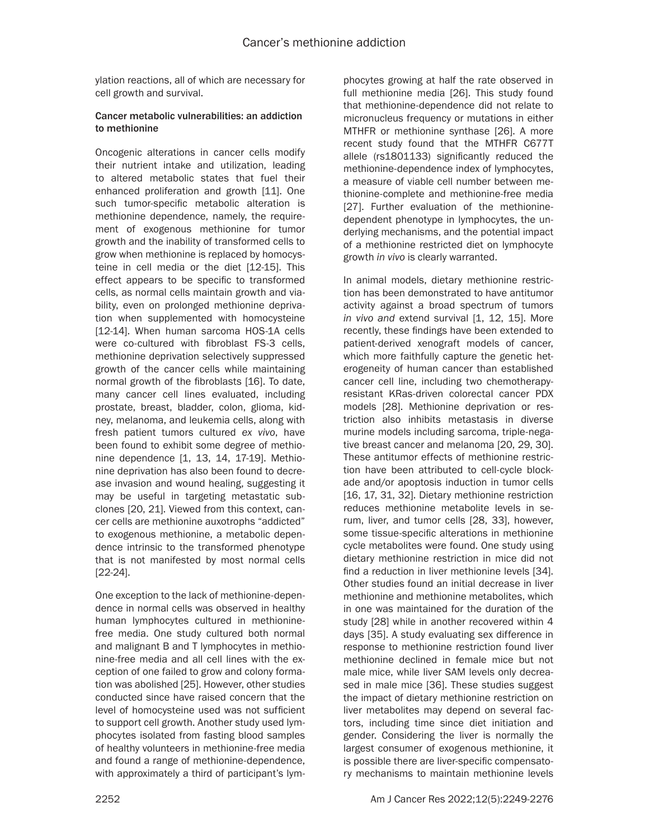ylation reactions, all of which are necessary for cell growth and survival.

#### Cancer metabolic vulnerabilities: an addiction to methionine

Oncogenic alterations in cancer cells modify their nutrient intake and utilization, leading to altered metabolic states that fuel their enhanced proliferation and growth [11]. One such tumor-specific metabolic alteration is methionine dependence, namely, the requirement of exogenous methionine for tumor growth and the inability of transformed cells to grow when methionine is replaced by homocysteine in cell media or the diet [12-15]. This effect appears to be specific to transformed cells, as normal cells maintain growth and viability, even on prolonged methionine deprivation when supplemented with homocysteine [12-14]. When human sarcoma HOS-1A cells were co-cultured with fibroblast FS-3 cells, methionine deprivation selectively suppressed growth of the cancer cells while maintaining normal growth of the fibroblasts [16]. To date, many cancer cell lines evaluated, including prostate, breast, bladder, colon, glioma, kidney, melanoma, and leukemia cells, along with fresh patient tumors cultured *ex vivo*, have been found to exhibit some degree of methionine dependence [1, 13, 14, 17-19]. Methionine deprivation has also been found to decrease invasion and wound healing, suggesting it may be useful in targeting metastatic subclones [20, 21]. Viewed from this context, cancer cells are methionine auxotrophs "addicted" to exogenous methionine, a metabolic dependence intrinsic to the transformed phenotype that is not manifested by most normal cells [22-24].

One exception to the lack of methionine-dependence in normal cells was observed in healthy human lymphocytes cultured in methioninefree media. One study cultured both normal and malignant B and T lymphocytes in methionine-free media and all cell lines with the exception of one failed to grow and colony formation was abolished [25]. However, other studies conducted since have raised concern that the level of homocysteine used was not sufficient to support cell growth. Another study used lymphocytes isolated from fasting blood samples of healthy volunteers in methionine-free media and found a range of methionine-dependence, with approximately a third of participant's lymphocytes growing at half the rate observed in full methionine media [26]. This study found that methionine-dependence did not relate to micronucleus frequency or mutations in either MTHFR or methionine synthase [26]. A more recent study found that the MTHFR C677T allele (rs1801133) significantly reduced the methionine-dependence index of lymphocytes, a measure of viable cell number between methionine-complete and methionine-free media [27]. Further evaluation of the methioninedependent phenotype in lymphocytes, the underlying mechanisms, and the potential impact of a methionine restricted diet on lymphocyte growth *in vivo* is clearly warranted.

In animal models, dietary methionine restriction has been demonstrated to have antitumor activity against a broad spectrum of tumors *in vivo and* extend survival [1, 12, 15]. More recently, these findings have been extended to patient-derived xenograft models of cancer, which more faithfully capture the genetic heterogeneity of human cancer than established cancer cell line, including two chemotherapyresistant KRas-driven colorectal cancer PDX models [28]. Methionine deprivation or restriction also inhibits metastasis in diverse murine models including sarcoma, triple-negative breast cancer and melanoma [20, 29, 30]. These antitumor effects of methionine restriction have been attributed to cell-cycle blockade and/or apoptosis induction in tumor cells [16, 17, 31, 32]. Dietary methionine restriction reduces methionine metabolite levels in serum, liver, and tumor cells [28, 33], however, some tissue-specific alterations in methionine cycle metabolites were found. One study using dietary methionine restriction in mice did not find a reduction in liver methionine levels [34]. Other studies found an initial decrease in liver methionine and methionine metabolites, which in one was maintained for the duration of the study [28] while in another recovered within 4 days [35]. A study evaluating sex difference in response to methionine restriction found liver methionine declined in female mice but not male mice, while liver SAM levels only decreased in male mice [36]. These studies suggest the impact of dietary methionine restriction on liver metabolites may depend on several factors, including time since diet initiation and gender. Considering the liver is normally the largest consumer of exogenous methionine, it is possible there are liver-specific compensatory mechanisms to maintain methionine levels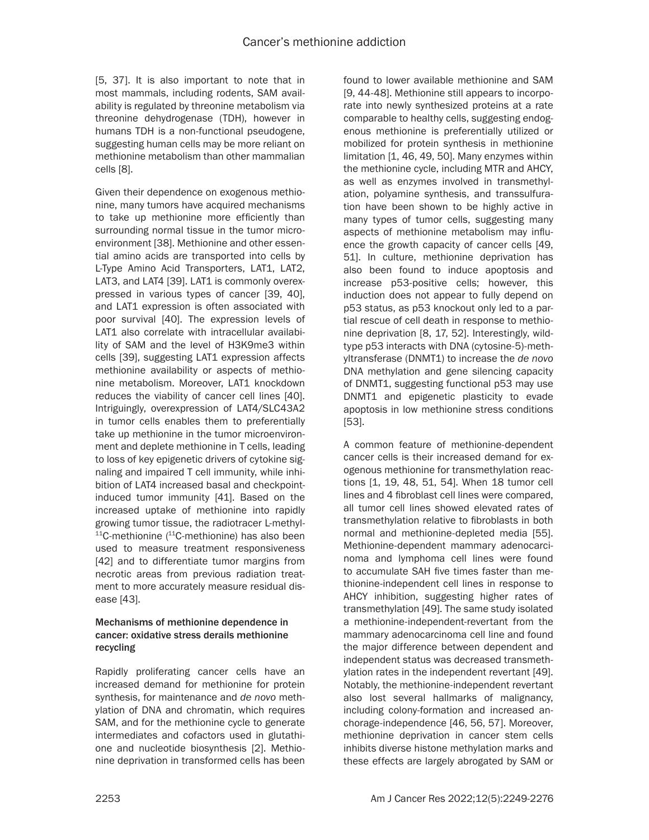[5, 37]. It is also important to note that in most mammals, including rodents, SAM availability is regulated by threonine metabolism via threonine dehydrogenase (TDH), however in humans TDH is a non-functional pseudogene, suggesting human cells may be more reliant on methionine metabolism than other mammalian cells [8].

Given their dependence on exogenous methionine, many tumors have acquired mechanisms to take up methionine more efficiently than surrounding normal tissue in the tumor microenvironment [38]. Methionine and other essential amino acids are transported into cells by L-Type Amino Acid Transporters, LAT1, LAT2, LAT3, and LAT4 [39]. LAT1 is commonly overexpressed in various types of cancer [39, 40], and LAT1 expression is often associated with poor survival [40]. The expression levels of LAT1 also correlate with intracellular availability of SAM and the level of H3K9me3 within cells [39], suggesting LAT1 expression affects methionine availability or aspects of methionine metabolism. Moreover, LAT1 knockdown reduces the viability of cancer cell lines [40]. Intriguingly, overexpression of LAT4/SLC43A2 in tumor cells enables them to preferentially take up methionine in the tumor microenvironment and deplete methionine in T cells, leading to loss of key epigenetic drivers of cytokine signaling and impaired T cell immunity, while inhibition of LAT4 increased basal and checkpointinduced tumor immunity [41]. Based on the increased uptake of methionine into rapidly growing tumor tissue, the radiotracer L-methyl- $11$ C-methionine ( $11$ C-methionine) has also been used to measure treatment responsiveness [42] and to differentiate tumor margins from necrotic areas from previous radiation treatment to more accurately measure residual disease [43].

#### Mechanisms of methionine dependence in cancer: oxidative stress derails methionine recycling

Rapidly proliferating cancer cells have an increased demand for methionine for protein synthesis, for maintenance and *de novo* methylation of DNA and chromatin, which requires SAM, and for the methionine cycle to generate intermediates and cofactors used in glutathione and nucleotide biosynthesis [2]. Methionine deprivation in transformed cells has been found to lower available methionine and SAM [9, 44-48]. Methionine still appears to incorporate into newly synthesized proteins at a rate comparable to healthy cells, suggesting endogenous methionine is preferentially utilized or mobilized for protein synthesis in methionine limitation [1, 46, 49, 50]. Many enzymes within the methionine cycle, including MTR and AHCY, as well as enzymes involved in transmethylation, polyamine synthesis, and transsulfuration have been shown to be highly active in many types of tumor cells, suggesting many aspects of methionine metabolism may influence the growth capacity of cancer cells [49, 51]. In culture, methionine deprivation has also been found to induce apoptosis and increase p53-positive cells; however, this induction does not appear to fully depend on p53 status, as p53 knockout only led to a partial rescue of cell death in response to methionine deprivation [8, 17, 52]. Interestingly, wildtype p53 interacts with DNA (cytosine-5)-methyltransferase (DNMT1) to increase the *de novo* DNA methylation and gene silencing capacity of DNMT1, suggesting functional p53 may use DNMT1 and epigenetic plasticity to evade apoptosis in low methionine stress conditions [53].

A common feature of methionine-dependent cancer cells is their increased demand for exogenous methionine for transmethylation reactions [1, 19, 48, 51, 54]. When 18 tumor cell lines and 4 fibroblast cell lines were compared, all tumor cell lines showed elevated rates of transmethylation relative to fibroblasts in both normal and methionine-depleted media [55]. Methionine-dependent mammary adenocarcinoma and lymphoma cell lines were found to accumulate SAH five times faster than methionine-independent cell lines in response to AHCY inhibition, suggesting higher rates of transmethylation [49]. The same study isolated a methionine-independent-revertant from the mammary adenocarcinoma cell line and found the major difference between dependent and independent status was decreased transmethylation rates in the independent revertant [49]. Notably, the methionine-independent revertant also lost several hallmarks of malignancy, including colony-formation and increased anchorage-independence [46, 56, 57]. Moreover, methionine deprivation in cancer stem cells inhibits diverse histone methylation marks and these effects are largely abrogated by SAM or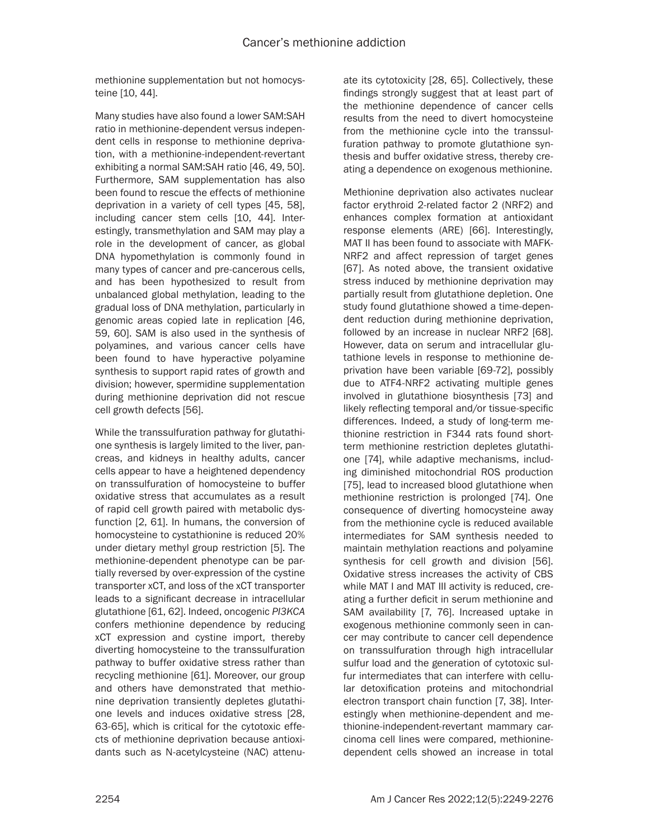methionine supplementation but not homocysteine [10, 44].

Many studies have also found a lower SAM:SAH ratio in methionine-dependent versus independent cells in response to methionine deprivation, with a methionine-independent-revertant exhibiting a normal SAM:SAH ratio [46, 49, 50]. Furthermore, SAM supplementation has also been found to rescue the effects of methionine deprivation in a variety of cell types [45, 58], including cancer stem cells [10, 44]. Interestingly, transmethylation and SAM may play a role in the development of cancer, as global DNA hypomethylation is commonly found in many types of cancer and pre-cancerous cells, and has been hypothesized to result from unbalanced global methylation, leading to the gradual loss of DNA methylation, particularly in genomic areas copied late in replication [46, 59, 60]. SAM is also used in the synthesis of polyamines, and various cancer cells have been found to have hyperactive polyamine synthesis to support rapid rates of growth and division; however, spermidine supplementation during methionine deprivation did not rescue cell growth defects [56].

While the transsulfuration pathway for glutathione synthesis is largely limited to the liver, pancreas, and kidneys in healthy adults, cancer cells appear to have a heightened dependency on transsulfuration of homocysteine to buffer oxidative stress that accumulates as a result of rapid cell growth paired with metabolic dysfunction [2, 61]. In humans, the conversion of homocysteine to cystathionine is reduced 20% under dietary methyl group restriction [5]. The methionine-dependent phenotype can be partially reversed by over-expression of the cystine transporter xCT, and loss of the xCT transporter leads to a significant decrease in intracellular glutathione [61, 62]. Indeed, oncogenic *PI3KCA*  confers methionine dependence by reducing xCT expression and cystine import, thereby diverting homocysteine to the transsulfuration pathway to buffer oxidative stress rather than recycling methionine [61]. Moreover, our group and others have demonstrated that methionine deprivation transiently depletes glutathione levels and induces oxidative stress [28, 63-65], which is critical for the cytotoxic effects of methionine deprivation because antioxidants such as N-acetylcysteine (NAC) attenu-

ate its cytotoxicity [28, 65]. Collectively, these findings strongly suggest that at least part of the methionine dependence of cancer cells results from the need to divert homocysteine from the methionine cycle into the transsulfuration pathway to promote glutathione synthesis and buffer oxidative stress, thereby creating a dependence on exogenous methionine.

Methionine deprivation also activates nuclear factor erythroid 2-related factor 2 (NRF2) and enhances complex formation at antioxidant response elements (ARE) [66]. Interestingly, MAT II has been found to associate with MAFK-NRF2 and affect repression of target genes [67]. As noted above, the transient oxidative stress induced by methionine deprivation may partially result from glutathione depletion. One study found glutathione showed a time-dependent reduction during methionine deprivation, followed by an increase in nuclear NRF2 [68]. However, data on serum and intracellular glutathione levels in response to methionine deprivation have been variable [69-72], possibly due to ATF4-NRF2 activating multiple genes involved in glutathione biosynthesis [73] and likely reflecting temporal and/or tissue-specific differences. Indeed, a study of long-term methionine restriction in F344 rats found shortterm methionine restriction depletes glutathione [74], while adaptive mechanisms, including diminished mitochondrial ROS production [75], lead to increased blood glutathione when methionine restriction is prolonged [74]. One consequence of diverting homocysteine away from the methionine cycle is reduced available intermediates for SAM synthesis needed to maintain methylation reactions and polyamine synthesis for cell growth and division [56]. Oxidative stress increases the activity of CBS while MAT I and MAT III activity is reduced, creating a further deficit in serum methionine and SAM availability [7, 76]. Increased uptake in exogenous methionine commonly seen in cancer may contribute to cancer cell dependence on transsulfuration through high intracellular sulfur load and the generation of cytotoxic sulfur intermediates that can interfere with cellular detoxification proteins and mitochondrial electron transport chain function [7, 38]. Interestingly when methionine-dependent and methionine-independent-revertant mammary carcinoma cell lines were compared, methioninedependent cells showed an increase in total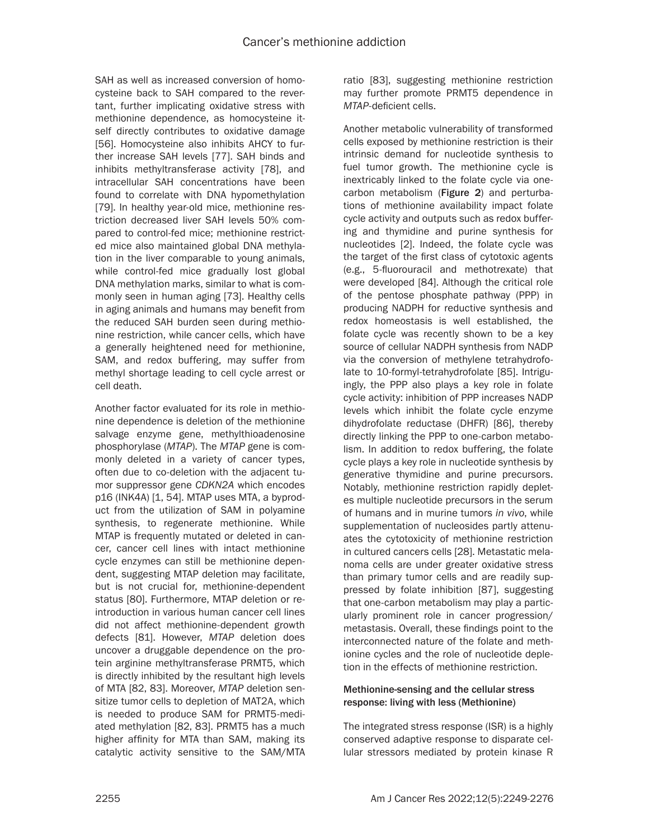SAH as well as increased conversion of homocysteine back to SAH compared to the revertant, further implicating oxidative stress with methionine dependence, as homocysteine itself directly contributes to oxidative damage [56]. Homocysteine also inhibits AHCY to further increase SAH levels [77]. SAH binds and inhibits methyltransferase activity [78], and intracellular SAH concentrations have been found to correlate with DNA hypomethylation [79]. In healthy year-old mice, methionine restriction decreased liver SAH levels 50% compared to control-fed mice; methionine restricted mice also maintained global DNA methylation in the liver comparable to young animals, while control-fed mice gradually lost global DNA methylation marks, similar to what is commonly seen in human aging [73]. Healthy cells in aging animals and humans may benefit from the reduced SAH burden seen during methionine restriction, while cancer cells, which have a generally heightened need for methionine, SAM, and redox buffering, may suffer from methyl shortage leading to cell cycle arrest or cell death.

Another factor evaluated for its role in methionine dependence is deletion of the methionine salvage enzyme gene, methylthioadenosine phosphorylase (*MTAP*). The *MTAP* gene is commonly deleted in a variety of cancer types, often due to co-deletion with the adjacent tumor suppressor gene *CDKN2A* which encodes p16 (INK4A) [1, 54]. MTAP uses MTA, a byproduct from the utilization of SAM in polyamine synthesis, to regenerate methionine. While MTAP is frequently mutated or deleted in cancer, cancer cell lines with intact methionine cycle enzymes can still be methionine dependent, suggesting MTAP deletion may facilitate, but is not crucial for, methionine-dependent status [80]. Furthermore, MTAP deletion or reintroduction in various human cancer cell lines did not affect methionine-dependent growth defects [81]. However, *MTAP* deletion does uncover a druggable dependence on the protein arginine methyltransferase PRMT5, which is directly inhibited by the resultant high levels of MTA [82, 83]. Moreover, *MTAP* deletion sensitize tumor cells to depletion of MAT2A, which is needed to produce SAM for PRMT5-mediated methylation [82, 83]. PRMT5 has a much higher affinity for MTA than SAM, making its catalytic activity sensitive to the SAM/MTA ratio [83], suggesting methionine restriction may further promote PRMT5 dependence in *MTAP*-deficient cells.

Another metabolic vulnerability of transformed cells exposed by methionine restriction is their intrinsic demand for nucleotide synthesis to fuel tumor growth. The methionine cycle is inextricably linked to the folate cycle via onecarbon metabolism (Figure 2) and perturbations of methionine availability impact folate cycle activity and outputs such as redox buffering and thymidine and purine synthesis for nucleotides [2]. Indeed, the folate cycle was the target of the first class of cytotoxic agents (e.g., 5-fluorouracil and methotrexate) that were developed [84]. Although the critical role of the pentose phosphate pathway (PPP) in producing NADPH for reductive synthesis and redox homeostasis is well established, the folate cycle was recently shown to be a key source of cellular NADPH synthesis from NADP via the conversion of methylene tetrahydrofolate to 10-formyl-tetrahydrofolate [85]. Intriguingly, the PPP also plays a key role in folate cycle activity: inhibition of PPP increases NADP levels which inhibit the folate cycle enzyme dihydrofolate reductase (DHFR) [86], thereby directly linking the PPP to one-carbon metabolism. In addition to redox buffering, the folate cycle plays a key role in nucleotide synthesis by generative thymidine and purine precursors. Notably, methionine restriction rapidly depletes multiple nucleotide precursors in the serum of humans and in murine tumors *in vivo*, while supplementation of nucleosides partly attenuates the cytotoxicity of methionine restriction in cultured cancers cells [28]. Metastatic melanoma cells are under greater oxidative stress than primary tumor cells and are readily suppressed by folate inhibition [87], suggesting that one-carbon metabolism may play a particularly prominent role in cancer progression/ metastasis. Overall, these findings point to the interconnected nature of the folate and methionine cycles and the role of nucleotide depletion in the effects of methionine restriction.

## Methionine-sensing and the cellular stress response: living with less (Methionine)

The integrated stress response (ISR) is a highly conserved adaptive response to disparate cellular stressors mediated by protein kinase R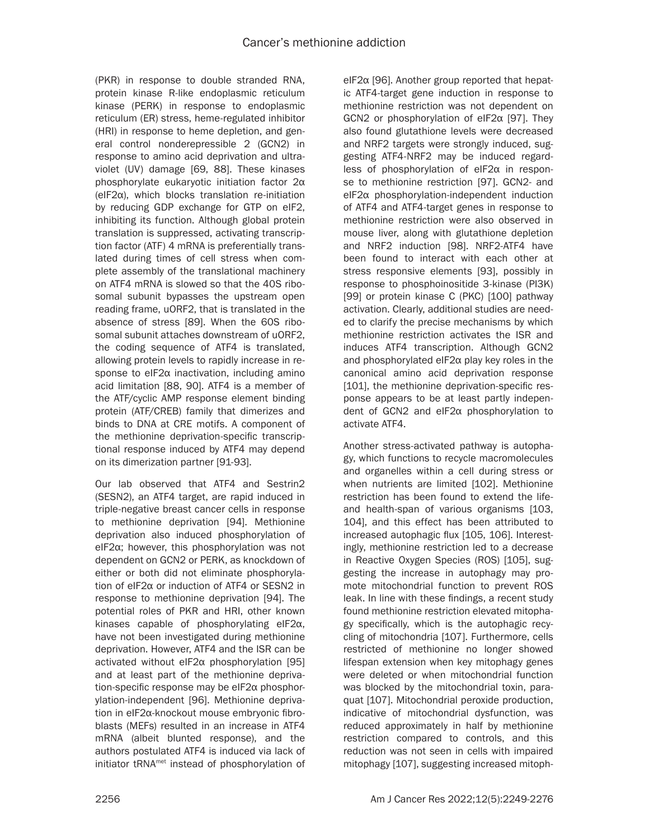(PKR) in response to double stranded RNA, protein kinase R-like endoplasmic reticulum kinase (PERK) in response to endoplasmic reticulum (ER) stress, heme-regulated inhibitor (HRI) in response to heme depletion, and general control nonderepressible 2 (GCN2) in response to amino acid deprivation and ultraviolet (UV) damage [69, 88]. These kinases phosphorylate eukaryotic initiation factor 2α (eIF2α), which blocks translation re-initiation by reducing GDP exchange for GTP on eIF2, inhibiting its function. Although global protein translation is suppressed, activating transcription factor (ATF) 4 mRNA is preferentially translated during times of cell stress when complete assembly of the translational machinery on ATF4 mRNA is slowed so that the 40S ribosomal subunit bypasses the upstream open reading frame, uORF2, that is translated in the absence of stress [89]. When the 60S ribosomal subunit attaches downstream of uORF2, the coding sequence of ATF4 is translated, allowing protein levels to rapidly increase in response to eIF2α inactivation, including amino acid limitation [88, 90]. ATF4 is a member of the ATF/cyclic AMP response element binding protein (ATF/CREB) family that dimerizes and binds to DNA at CRE motifs. A component of the methionine deprivation-specific transcriptional response induced by ATF4 may depend on its dimerization partner [91-93].

Our lab observed that ATF4 and Sestrin2 (SESN2), an ATF4 target, are rapid induced in triple-negative breast cancer cells in response to methionine deprivation [94]. Methionine deprivation also induced phosphorylation of eIF2α; however, this phosphorylation was not dependent on GCN2 or PERK, as knockdown of either or both did not eliminate phosphorylation of eIF2α or induction of ATF4 or SESN2 in response to methionine deprivation [94]. The potential roles of PKR and HRI, other known kinases capable of phosphorylating eIF2α, have not been investigated during methionine deprivation. However, ATF4 and the ISR can be activated without eIF2α phosphorylation [95] and at least part of the methionine deprivation-specific response may be eIF2α phosphorylation-independent [96]. Methionine deprivation in eIF2α-knockout mouse embryonic fibroblasts (MEFs) resulted in an increase in ATF4 mRNA (albeit blunted response), and the authors postulated ATF4 is induced via lack of initiator tRNAmet instead of phosphorylation of eIF2α [96]. Another group reported that hepatic ATF4-target gene induction in response to methionine restriction was not dependent on GCN2 or phosphorylation of eIF2α [97]. They also found glutathione levels were decreased and NRF2 targets were strongly induced, suggesting ATF4-NRF2 may be induced regardless of phosphorylation of eIF2α in response to methionine restriction [97]. GCN2- and eIF2α phosphorylation-independent induction of ATF4 and ATF4-target genes in response to methionine restriction were also observed in mouse liver, along with glutathione depletion and NRF2 induction [98]. NRF2-ATF4 have been found to interact with each other at stress responsive elements [93], possibly in response to phosphoinositide 3-kinase (PI3K) [99] or protein kinase C (PKC) [100] pathway activation. Clearly, additional studies are needed to clarify the precise mechanisms by which methionine restriction activates the ISR and induces ATF4 transcription. Although GCN2 and phosphorylated eIF2α play key roles in the canonical amino acid deprivation response [101], the methionine deprivation-specific response appears to be at least partly independent of GCN2 and eIF2α phosphorylation to activate ATF4.

Another stress-activated pathway is autophagy, which functions to recycle macromolecules and organelles within a cell during stress or when nutrients are limited [102]. Methionine restriction has been found to extend the lifeand health-span of various organisms [103, 104], and this effect has been attributed to increased autophagic flux [105, 106]. Interestingly, methionine restriction led to a decrease in Reactive Oxygen Species (ROS) [105], suggesting the increase in autophagy may promote mitochondrial function to prevent ROS leak. In line with these findings, a recent study found methionine restriction elevated mitophagy specifically, which is the autophagic recycling of mitochondria [107]. Furthermore, cells restricted of methionine no longer showed lifespan extension when key mitophagy genes were deleted or when mitochondrial function was blocked by the mitochondrial toxin, paraquat [107]. Mitochondrial peroxide production, indicative of mitochondrial dysfunction, was reduced approximately in half by methionine restriction compared to controls, and this reduction was not seen in cells with impaired mitophagy [107], suggesting increased mitoph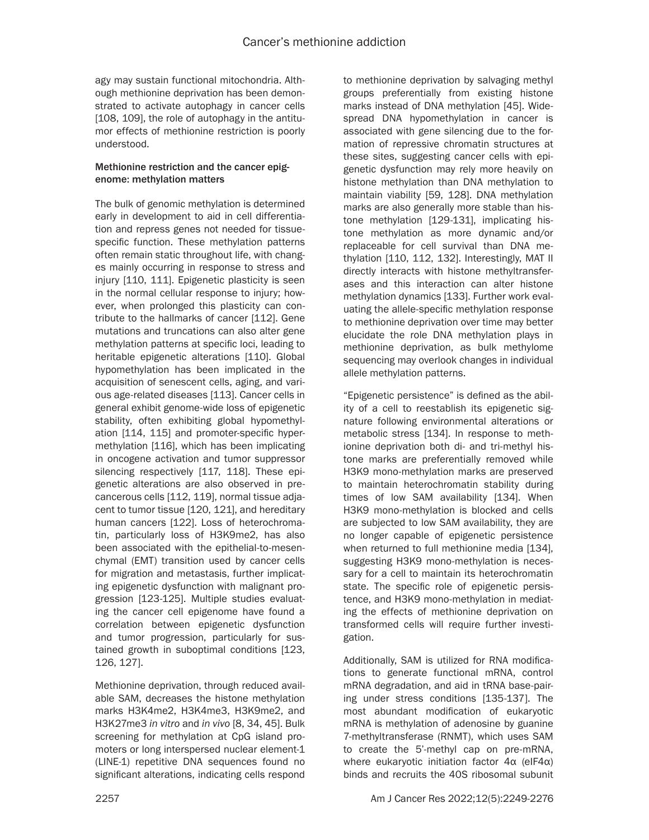agy may sustain functional mitochondria. Although methionine deprivation has been demonstrated to activate autophagy in cancer cells [108, 109], the role of autophagy in the antitumor effects of methionine restriction is poorly understood.

## Methionine restriction and the cancer epigenome: methylation matters

The bulk of genomic methylation is determined early in development to aid in cell differentiation and repress genes not needed for tissuespecific function. These methylation patterns often remain static throughout life, with changes mainly occurring in response to stress and injury [110, 111]. Epigenetic plasticity is seen in the normal cellular response to injury; however, when prolonged this plasticity can contribute to the hallmarks of cancer [112]. Gene mutations and truncations can also alter gene methylation patterns at specific loci, leading to heritable epigenetic alterations [110]. Global hypomethylation has been implicated in the acquisition of senescent cells, aging, and various age-related diseases [113]. Cancer cells in general exhibit genome-wide loss of epigenetic stability, often exhibiting global hypomethylation [114, 115] and promoter-specific hypermethylation [116], which has been implicating in oncogene activation and tumor suppressor silencing respectively [117, 118]. These epigenetic alterations are also observed in precancerous cells [112, 119], normal tissue adjacent to tumor tissue [120, 121], and hereditary human cancers [122]. Loss of heterochromatin, particularly loss of H3K9me2, has also been associated with the epithelial-to-mesenchymal (EMT) transition used by cancer cells for migration and metastasis, further implicating epigenetic dysfunction with malignant progression [123-125]. Multiple studies evaluating the cancer cell epigenome have found a correlation between epigenetic dysfunction and tumor progression, particularly for sustained growth in suboptimal conditions [123, 126, 127].

Methionine deprivation, through reduced available SAM, decreases the histone methylation marks H3K4me2, H3K4me3, H3K9me2, and H3K27me3 *in vitro* and *in vivo* [8, 34, 45]. Bulk screening for methylation at CpG island promoters or long interspersed nuclear element-1 (LINE-1) repetitive DNA sequences found no significant alterations, indicating cells respond to methionine deprivation by salvaging methyl groups preferentially from existing histone marks instead of DNA methylation [45]. Widespread DNA hypomethylation in cancer is associated with gene silencing due to the formation of repressive chromatin structures at these sites, suggesting cancer cells with epigenetic dysfunction may rely more heavily on histone methylation than DNA methylation to maintain viability [59, 128]. DNA methylation marks are also generally more stable than histone methylation [129-131], implicating histone methylation as more dynamic and/or replaceable for cell survival than DNA methylation [110, 112, 132]. Interestingly, MAT II directly interacts with histone methyltransferases and this interaction can alter histone methylation dynamics [133]. Further work evaluating the allele-specific methylation response to methionine deprivation over time may better elucidate the role DNA methylation plays in methionine deprivation, as bulk methylome sequencing may overlook changes in individual allele methylation patterns.

"Epigenetic persistence" is defined as the ability of a cell to reestablish its epigenetic signature following environmental alterations or metabolic stress [134]. In response to methionine deprivation both di- and tri-methyl histone marks are preferentially removed while H3K9 mono-methylation marks are preserved to maintain heterochromatin stability during times of low SAM availability [134]. When H3K9 mono-methylation is blocked and cells are subjected to low SAM availability, they are no longer capable of epigenetic persistence when returned to full methionine media [134], suggesting H3K9 mono-methylation is necessary for a cell to maintain its heterochromatin state. The specific role of epigenetic persistence, and H3K9 mono-methylation in mediating the effects of methionine deprivation on transformed cells will require further investigation.

Additionally, SAM is utilized for RNA modifications to generate functional mRNA, control mRNA degradation, and aid in tRNA base-pairing under stress conditions [135-137]. The most abundant modification of eukaryotic mRNA is methylation of adenosine by guanine 7-methyltransferase (RNMT), which uses SAM to create the 5'-methyl cap on pre-mRNA, where eukaryotic initiation factor 4α (eIF4α) binds and recruits the 40S ribosomal subunit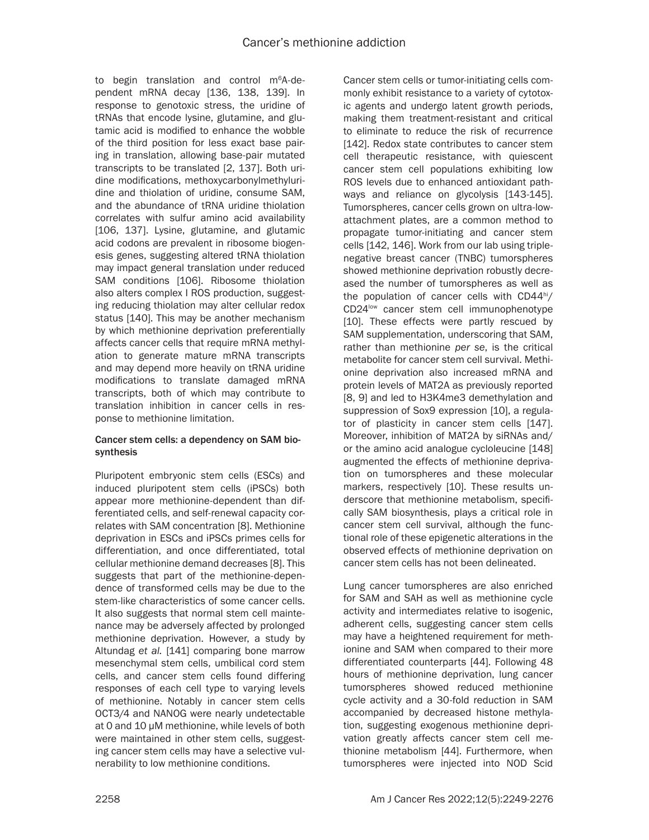to begin translation and control m<sup>6</sup>A-dependent mRNA decay [136, 138, 139]. In response to genotoxic stress, the uridine of tRNAs that encode lysine, glutamine, and glutamic acid is modified to enhance the wobble of the third position for less exact base pairing in translation, allowing base-pair mutated transcripts to be translated [2, 137]. Both uridine modifications, methoxycarbonylmethyluridine and thiolation of uridine, consume SAM, and the abundance of tRNA uridine thiolation correlates with sulfur amino acid availability [106, 137]. Lysine, glutamine, and glutamic acid codons are prevalent in ribosome biogenesis genes, suggesting altered tRNA thiolation may impact general translation under reduced SAM conditions [106]. Ribosome thiolation also alters complex I ROS production, suggesting reducing thiolation may alter cellular redox status [140]. This may be another mechanism by which methionine deprivation preferentially affects cancer cells that require mRNA methylation to generate mature mRNA transcripts and may depend more heavily on tRNA uridine modifications to translate damaged mRNA transcripts, both of which may contribute to translation inhibition in cancer cells in response to methionine limitation.

## Cancer stem cells: a dependency on SAM biosynthesis

Pluripotent embryonic stem cells (ESCs) and induced pluripotent stem cells (iPSCs) both appear more methionine-dependent than differentiated cells, and self-renewal capacity correlates with SAM concentration [8]. Methionine deprivation in ESCs and iPSCs primes cells for differentiation, and once differentiated, total cellular methionine demand decreases [8]. This suggests that part of the methionine-dependence of transformed cells may be due to the stem-like characteristics of some cancer cells. It also suggests that normal stem cell maintenance may be adversely affected by prolonged methionine deprivation. However, a study by Altundag *et al.* [141] comparing bone marrow mesenchymal stem cells, umbilical cord stem cells, and cancer stem cells found differing responses of each cell type to varying levels of methionine. Notably in cancer stem cells OCT3/4 and NANOG were nearly undetectable at 0 and 10 µM methionine, while levels of both were maintained in other stem cells, suggesting cancer stem cells may have a selective vulnerability to low methionine conditions.

Cancer stem cells or tumor-initiating cells commonly exhibit resistance to a variety of cytotoxic agents and undergo latent growth periods, making them treatment-resistant and critical to eliminate to reduce the risk of recurrence [142]. Redox state contributes to cancer stem cell therapeutic resistance, with quiescent cancer stem cell populations exhibiting low ROS levels due to enhanced antioxidant pathways and reliance on glycolysis [143-145]. Tumorspheres, cancer cells grown on ultra-lowattachment plates, are a common method to propagate tumor-initiating and cancer stem cells [142, 146]. Work from our lab using triplenegative breast cancer (TNBC) tumorspheres showed methionine deprivation robustly decreased the number of tumorspheres as well as the population of cancer cells with  $CD44<sup>hi</sup>/$ CD24<sup>low</sup> cancer stem cell immunophenotype [10]. These effects were partly rescued by SAM supplementation, underscoring that SAM, rather than methionine *per se*, is the critical metabolite for cancer stem cell survival. Methionine deprivation also increased mRNA and protein levels of MAT2A as previously reported [8, 9] and led to H3K4me3 demethylation and suppression of Sox9 expression [10], a regulator of plasticity in cancer stem cells [147]. Moreover, inhibition of MAT2A by siRNAs and/ or the amino acid analogue cycloleucine [148] augmented the effects of methionine deprivation on tumorspheres and these molecular markers, respectively [10]. These results underscore that methionine metabolism, specifically SAM biosynthesis, plays a critical role in cancer stem cell survival, although the functional role of these epigenetic alterations in the observed effects of methionine deprivation on cancer stem cells has not been delineated.

Lung cancer tumorspheres are also enriched for SAM and SAH as well as methionine cycle activity and intermediates relative to isogenic, adherent cells, suggesting cancer stem cells may have a heightened requirement for methionine and SAM when compared to their more differentiated counterparts [44]. Following 48 hours of methionine deprivation, lung cancer tumorspheres showed reduced methionine cycle activity and a 30-fold reduction in SAM accompanied by decreased histone methylation, suggesting exogenous methionine deprivation greatly affects cancer stem cell methionine metabolism [44]. Furthermore, when tumorspheres were injected into NOD Scid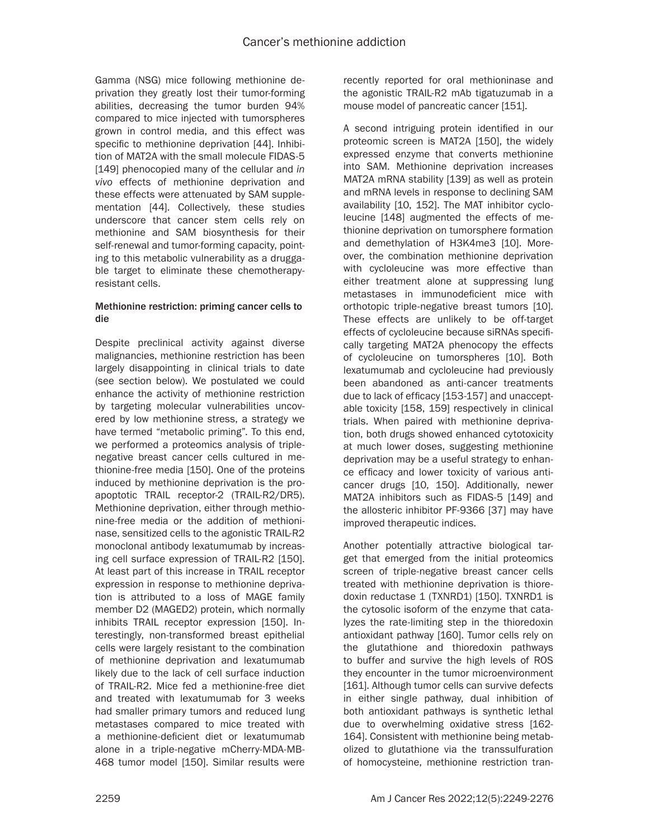Gamma (NSG) mice following methionine deprivation they greatly lost their tumor-forming abilities, decreasing the tumor burden 94% compared to mice injected with tumorspheres grown in control media, and this effect was specific to methionine deprivation [44]. Inhibition of MAT2A with the small molecule FIDAS-5 [149] phenocopied many of the cellular and *in vivo* effects of methionine deprivation and these effects were attenuated by SAM supplementation [44]. Collectively, these studies underscore that cancer stem cells rely on methionine and SAM biosynthesis for their self-renewal and tumor-forming capacity, pointing to this metabolic vulnerability as a druggable target to eliminate these chemotherapyresistant cells.

## Methionine restriction: priming cancer cells to die

Despite preclinical activity against diverse malignancies, methionine restriction has been largely disappointing in clinical trials to date (see section below). We postulated we could enhance the activity of methionine restriction by targeting molecular vulnerabilities uncovered by low methionine stress, a strategy we have termed "metabolic priming". To this end, we performed a proteomics analysis of triplenegative breast cancer cells cultured in methionine-free media [150]. One of the proteins induced by methionine deprivation is the proapoptotic TRAIL receptor-2 (TRAIL-R2/DR5). Methionine deprivation, either through methionine-free media or the addition of methioninase, sensitized cells to the agonistic TRAIL-R2 monoclonal antibody lexatumumab by increasing cell surface expression of TRAIL-R2 [150]. At least part of this increase in TRAIL receptor expression in response to methionine deprivation is attributed to a loss of MAGE family member D2 (MAGED2) protein, which normally inhibits TRAIL receptor expression [150]. Interestingly, non-transformed breast epithelial cells were largely resistant to the combination of methionine deprivation and lexatumumab likely due to the lack of cell surface induction of TRAIL-R2. Mice fed a methionine-free diet and treated with lexatumumab for 3 weeks had smaller primary tumors and reduced lung metastases compared to mice treated with a methionine-deficient diet or lexatumumab alone in a triple-negative mCherry-MDA-MB-468 tumor model [150]. Similar results were recently reported for oral methioninase and the agonistic TRAIL-R2 mAb tigatuzumab in a mouse model of pancreatic cancer [151].

A second intriguing protein identified in our proteomic screen is MAT2A [150], the widely expressed enzyme that converts methionine into SAM. Methionine deprivation increases MAT2A mRNA stability [139] as well as protein and mRNA levels in response to declining SAM availability [10, 152]. The MAT inhibitor cycloleucine [148] augmented the effects of methionine deprivation on tumorsphere formation and demethylation of H3K4me3 [10]. Moreover, the combination methionine deprivation with cycloleucine was more effective than either treatment alone at suppressing lung metastases in immunodeficient mice with orthotopic triple-negative breast tumors [10]. These effects are unlikely to be off-target effects of cycloleucine because siRNAs specifically targeting MAT2A phenocopy the effects of cycloleucine on tumorspheres [10]. Both lexatumumab and cycloleucine had previously been abandoned as anti-cancer treatments due to lack of efficacy [153-157] and unacceptable toxicity [158, 159] respectively in clinical trials. When paired with methionine deprivation, both drugs showed enhanced cytotoxicity at much lower doses, suggesting methionine deprivation may be a useful strategy to enhance efficacy and lower toxicity of various anticancer drugs [10, 150]. Additionally, newer MAT2A inhibitors such as FIDAS-5 [149] and the allosteric inhibitor PF-9366 [37] may have improved therapeutic indices.

Another potentially attractive biological target that emerged from the initial proteomics screen of triple-negative breast cancer cells treated with methionine deprivation is thioredoxin reductase 1 (TXNRD1) [150]. TXNRD1 is the cytosolic isoform of the enzyme that catalyzes the rate-limiting step in the thioredoxin antioxidant pathway [160]. Tumor cells rely on the glutathione and thioredoxin pathways to buffer and survive the high levels of ROS they encounter in the tumor microenvironment [161]. Although tumor cells can survive defects in either single pathway, dual inhibition of both antioxidant pathways is synthetic lethal due to overwhelming oxidative stress [162- 164]. Consistent with methionine being metabolized to glutathione via the transsulfuration of homocysteine, methionine restriction tran-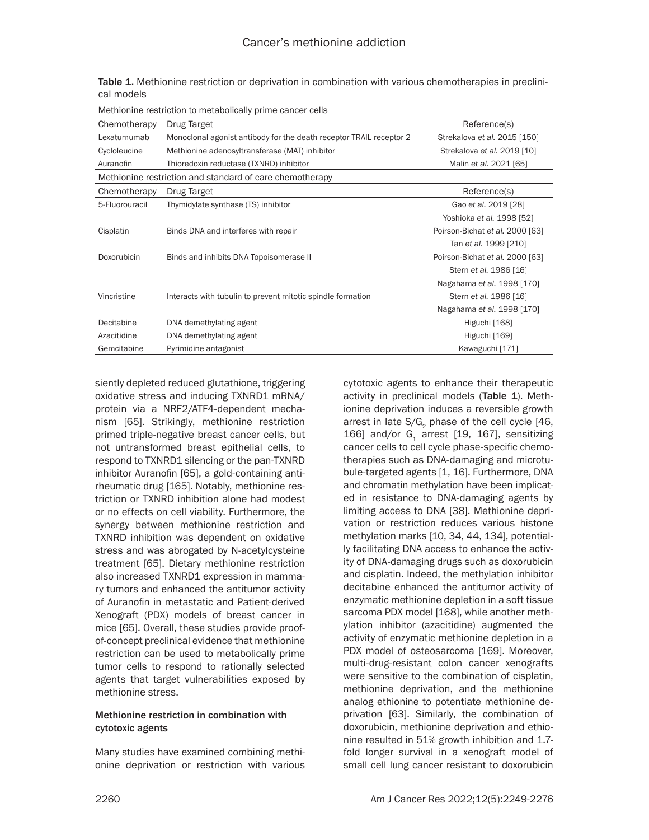| Methionine restriction to metabolically prime cancer cells |                                                                     |                                 |  |  |  |  |
|------------------------------------------------------------|---------------------------------------------------------------------|---------------------------------|--|--|--|--|
| Chemotherapy                                               | Drug Target                                                         | Reference(s)                    |  |  |  |  |
| Lexatumumab                                                | Monoclonal agonist antibody for the death receptor TRAIL receptor 2 | Strekalova et al. 2015 [150]    |  |  |  |  |
| Cycloleucine                                               | Methionine adenosyltransferase (MAT) inhibitor                      | Strekalova et al. 2019 [10]     |  |  |  |  |
| Auranofin                                                  | Thioredoxin reductase (TXNRD) inhibitor                             | Malin et al. 2021 [65]          |  |  |  |  |
| Methionine restriction and standard of care chemotherapy   |                                                                     |                                 |  |  |  |  |
| Chemotherapy                                               | Drug Target                                                         | Reference(s)                    |  |  |  |  |
| 5-Fluorouracil                                             | Thymidylate synthase (TS) inhibitor                                 | Gao et al. 2019 [28]            |  |  |  |  |
|                                                            |                                                                     | Yoshioka et al. 1998 [52]       |  |  |  |  |
| Cisplatin                                                  | Binds DNA and interferes with repair                                | Poirson-Bichat et al. 2000 [63] |  |  |  |  |
|                                                            |                                                                     | Tan et al. 1999 [210]           |  |  |  |  |
| Doxorubicin                                                | Binds and inhibits DNA Topoisomerase II                             | Poirson-Bichat et al. 2000 [63] |  |  |  |  |
|                                                            |                                                                     | Stern et al. 1986 [16]          |  |  |  |  |
|                                                            |                                                                     | Nagahama et al. 1998 [170]      |  |  |  |  |
| Vincristine                                                | Interacts with tubulin to prevent mitotic spindle formation         | Stern et al. 1986 [16]          |  |  |  |  |
|                                                            |                                                                     | Nagahama et al. 1998 [170]      |  |  |  |  |
| Decitabine                                                 | DNA demethylating agent                                             | Higuchi [168]                   |  |  |  |  |
| Azacitidine                                                | DNA demethylating agent                                             | Higuchi [169]                   |  |  |  |  |
| Gemcitabine                                                | Pyrimidine antagonist                                               | Kawaguchi [171]                 |  |  |  |  |
|                                                            |                                                                     |                                 |  |  |  |  |

Table 1. Methionine restriction or deprivation in combination with various chemotherapies in preclinical models

siently depleted reduced glutathione, triggering oxidative stress and inducing TXNRD1 mRNA/ protein via a NRF2/ATF4-dependent mechanism [65]. Strikingly, methionine restriction primed triple-negative breast cancer cells, but not untransformed breast epithelial cells, to respond to TXNRD1 silencing or the pan-TXNRD inhibitor Auranofin [65], a gold-containing antirheumatic drug [165]. Notably, methionine restriction or TXNRD inhibition alone had modest or no effects on cell viability. Furthermore, the synergy between methionine restriction and TXNRD inhibition was dependent on oxidative stress and was abrogated by N-acetylcysteine treatment [65]. Dietary methionine restriction also increased TXNRD1 expression in mammary tumors and enhanced the antitumor activity of Auranofin in metastatic and Patient-derived Xenograft (PDX) models of breast cancer in mice [65]. Overall, these studies provide proofof-concept preclinical evidence that methionine restriction can be used to metabolically prime tumor cells to respond to rationally selected agents that target vulnerabilities exposed by methionine stress.

## Methionine restriction in combination with cytotoxic agents

Many studies have examined combining methionine deprivation or restriction with various

cytotoxic agents to enhance their therapeutic activity in preclinical models (Table 1). Methionine deprivation induces a reversible growth arrest in late  $S/G<sub>2</sub>$  phase of the cell cycle [46, 166] and/or  $G<sub>1</sub>$  arrest [19, 167], sensitizing cancer cells to cell cycle phase-specific chemotherapies such as DNA-damaging and microtubule-targeted agents [1, 16]. Furthermore, DNA and chromatin methylation have been implicated in resistance to DNA-damaging agents by limiting access to DNA [38]. Methionine deprivation or restriction reduces various histone methylation marks [10, 34, 44, 134], potentially facilitating DNA access to enhance the activity of DNA-damaging drugs such as doxorubicin and cisplatin. Indeed, the methylation inhibitor decitabine enhanced the antitumor activity of enzymatic methionine depletion in a soft tissue sarcoma PDX model [168], while another methylation inhibitor (azacitidine) augmented the activity of enzymatic methionine depletion in a PDX model of osteosarcoma [169]. Moreover, multi-drug-resistant colon cancer xenografts were sensitive to the combination of cisplatin, methionine deprivation, and the methionine analog ethionine to potentiate methionine deprivation [63]. Similarly, the combination of doxorubicin, methionine deprivation and ethionine resulted in 51% growth inhibition and 1.7 fold longer survival in a xenograft model of small cell lung cancer resistant to doxorubicin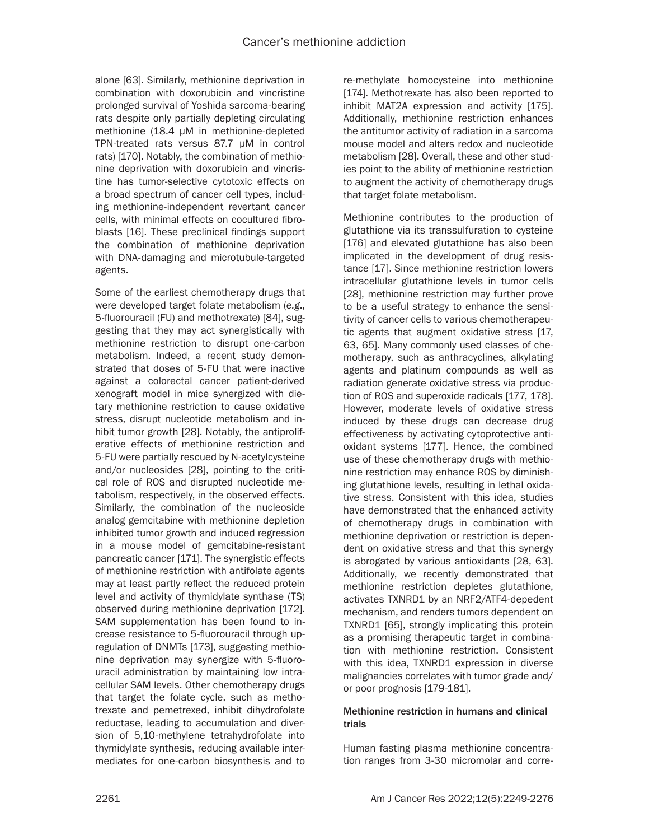alone [63]. Similarly, methionine deprivation in combination with doxorubicin and vincristine prolonged survival of Yoshida sarcoma-bearing rats despite only partially depleting circulating methionine (18.4 μM in methionine-depleted TPN-treated rats versus 87.7 μM in control rats) [170]. Notably, the combination of methionine deprivation with doxorubicin and vincristine has tumor-selective cytotoxic effects on a broad spectrum of cancer cell types, including methionine-independent revertant cancer cells, with minimal effects on cocultured fibroblasts [16]. These preclinical findings support the combination of methionine deprivation with DNA-damaging and microtubule-targeted agents.

Some of the earliest chemotherapy drugs that were developed target folate metabolism (*e.g*., 5-fluorouracil (FU) and methotrexate) [84], suggesting that they may act synergistically with methionine restriction to disrupt one-carbon metabolism. Indeed, a recent study demonstrated that doses of 5-FU that were inactive against a colorectal cancer patient-derived xenograft model in mice synergized with dietary methionine restriction to cause oxidative stress, disrupt nucleotide metabolism and inhibit tumor growth [28]. Notably, the antiproliferative effects of methionine restriction and 5-FU were partially rescued by N-acetylcysteine and/or nucleosides [28], pointing to the critical role of ROS and disrupted nucleotide metabolism, respectively, in the observed effects. Similarly, the combination of the nucleoside analog gemcitabine with methionine depletion inhibited tumor growth and induced regression in a mouse model of gemcitabine-resistant pancreatic cancer [171]. The synergistic effects of methionine restriction with antifolate agents may at least partly reflect the reduced protein level and activity of thymidylate synthase (TS) observed during methionine deprivation [172]. SAM supplementation has been found to increase resistance to 5-fluorouracil through upregulation of DNMTs [173], suggesting methionine deprivation may synergize with 5-fluorouracil administration by maintaining low intracellular SAM levels. Other chemotherapy drugs that target the folate cycle, such as methotrexate and pemetrexed, inhibit dihydrofolate reductase, leading to accumulation and diversion of 5,10-methylene tetrahydrofolate into thymidylate synthesis, reducing available intermediates for one-carbon biosynthesis and to re-methylate homocysteine into methionine [174]. Methotrexate has also been reported to inhibit MAT2A expression and activity [175]. Additionally, methionine restriction enhances the antitumor activity of radiation in a sarcoma mouse model and alters redox and nucleotide metabolism [28]. Overall, these and other studies point to the ability of methionine restriction to augment the activity of chemotherapy drugs that target folate metabolism.

Methionine contributes to the production of glutathione via its transsulfuration to cysteine [176] and elevated glutathione has also been implicated in the development of drug resistance [17]. Since methionine restriction lowers intracellular glutathione levels in tumor cells [28], methionine restriction may further prove to be a useful strategy to enhance the sensitivity of cancer cells to various chemotherapeutic agents that augment oxidative stress [17, 63, 65]. Many commonly used classes of chemotherapy, such as anthracyclines, alkylating agents and platinum compounds as well as radiation generate oxidative stress via production of ROS and superoxide radicals [177, 178]. However, moderate levels of oxidative stress induced by these drugs can decrease drug effectiveness by activating cytoprotective antioxidant systems [177]. Hence, the combined use of these chemotherapy drugs with methionine restriction may enhance ROS by diminishing glutathione levels, resulting in lethal oxidative stress. Consistent with this idea, studies have demonstrated that the enhanced activity of chemotherapy drugs in combination with methionine deprivation or restriction is dependent on oxidative stress and that this synergy is abrogated by various antioxidants [28, 63]. Additionally, we recently demonstrated that methionine restriction depletes glutathione, activates TXNRD1 by an NRF2/ATF4-depedent mechanism, and renders tumors dependent on TXNRD1 [65], strongly implicating this protein as a promising therapeutic target in combination with methionine restriction. Consistent with this idea, TXNRD1 expression in diverse malignancies correlates with tumor grade and/ or poor prognosis [179-181].

## Methionine restriction in humans and clinical trials

Human fasting plasma methionine concentration ranges from 3-30 micromolar and corre-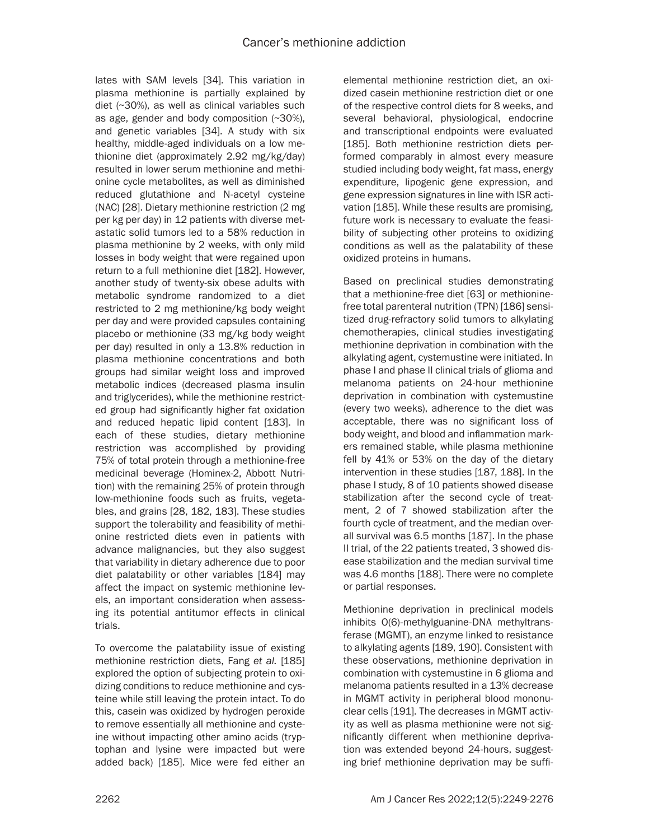lates with SAM levels [34]. This variation in plasma methionine is partially explained by diet (~30%), as well as clinical variables such as age, gender and body composition (~30%), and genetic variables [34]. A study with six healthy, middle-aged individuals on a low methionine diet (approximately 2.92 mg/kg/day) resulted in lower serum methionine and methionine cycle metabolites, as well as diminished reduced glutathione and N-acetyl cysteine (NAC) [28]. Dietary methionine restriction (2 mg per kg per day) in 12 patients with diverse metastatic solid tumors led to a 58% reduction in plasma methionine by 2 weeks, with only mild losses in body weight that were regained upon return to a full methionine diet [182]. However, another study of twenty-six obese adults with metabolic syndrome randomized to a diet restricted to 2 mg methionine/kg body weight per day and were provided capsules containing placebo or methionine (33 mg/kg body weight per day) resulted in only a 13.8% reduction in plasma methionine concentrations and both groups had similar weight loss and improved metabolic indices (decreased plasma insulin and triglycerides), while the methionine restricted group had significantly higher fat oxidation and reduced hepatic lipid content [183]. In each of these studies, dietary methionine restriction was accomplished by providing 75% of total protein through a methionine-free medicinal beverage (Hominex-2, Abbott Nutrition) with the remaining 25% of protein through low-methionine foods such as fruits, vegetables, and grains [28, 182, 183]. These studies support the tolerability and feasibility of methionine restricted diets even in patients with advance malignancies, but they also suggest that variability in dietary adherence due to poor diet palatability or other variables [184] may affect the impact on systemic methionine levels, an important consideration when assessing its potential antitumor effects in clinical trials.

To overcome the palatability issue of existing methionine restriction diets, Fang *et al.* [185] explored the option of subjecting protein to oxidizing conditions to reduce methionine and cysteine while still leaving the protein intact. To do this, casein was oxidized by hydrogen peroxide to remove essentially all methionine and cysteine without impacting other amino acids (tryptophan and lysine were impacted but were added back) [185]. Mice were fed either an elemental methionine restriction diet, an oxidized casein methionine restriction diet or one of the respective control diets for 8 weeks, and several behavioral, physiological, endocrine and transcriptional endpoints were evaluated [185]. Both methionine restriction diets performed comparably in almost every measure studied including body weight, fat mass, energy expenditure, lipogenic gene expression, and gene expression signatures in line with ISR activation [185]. While these results are promising, future work is necessary to evaluate the feasibility of subjecting other proteins to oxidizing conditions as well as the palatability of these oxidized proteins in humans.

Based on preclinical studies demonstrating that a methionine-free diet [63] or methioninefree total parenteral nutrition (TPN) [186] sensitized drug-refractory solid tumors to alkylating chemotherapies, clinical studies investigating methionine deprivation in combination with the alkylating agent, cystemustine were initiated. In phase I and phase II clinical trials of glioma and melanoma patients on 24-hour methionine deprivation in combination with cystemustine (every two weeks), adherence to the diet was acceptable, there was no significant loss of body weight, and blood and inflammation markers remained stable, while plasma methionine fell by 41% or 53% on the day of the dietary intervention in these studies [187, 188]. In the phase I study, 8 of 10 patients showed disease stabilization after the second cycle of treatment, 2 of 7 showed stabilization after the fourth cycle of treatment, and the median overall survival was 6.5 months [187]. In the phase II trial, of the 22 patients treated, 3 showed disease stabilization and the median survival time was 4.6 months [188]. There were no complete or partial responses.

Methionine deprivation in preclinical models inhibits O(6)-methylguanine-DNA methyltransferase (MGMT), an enzyme linked to resistance to alkylating agents [189, 190]. Consistent with these observations, methionine deprivation in combination with cystemustine in 6 glioma and melanoma patients resulted in a 13% decrease in MGMT activity in peripheral blood mononuclear cells [191]. The decreases in MGMT activity as well as plasma methionine were not significantly different when methionine deprivation was extended beyond 24-hours, suggesting brief methionine deprivation may be suffi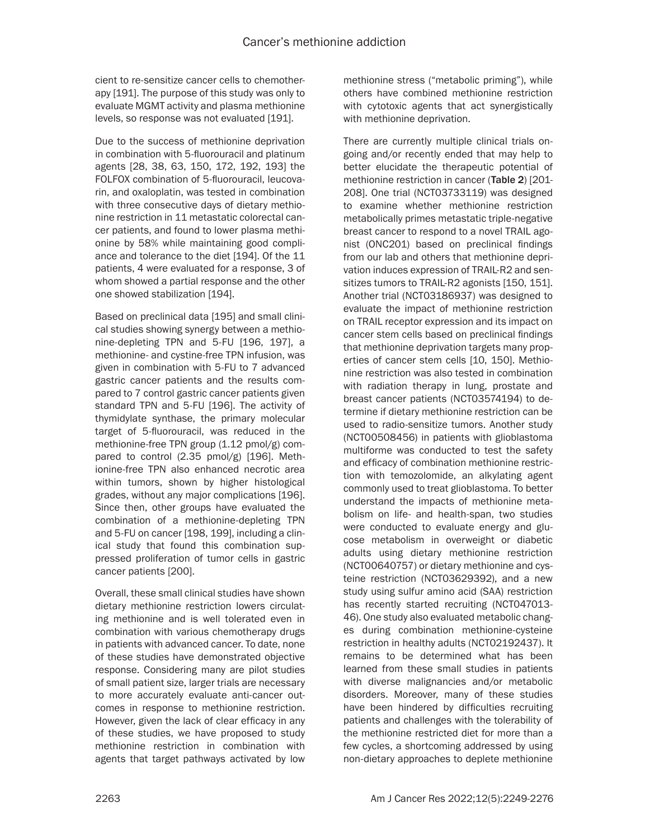cient to re-sensitize cancer cells to chemotherapy [191]. The purpose of this study was only to evaluate MGMT activity and plasma methionine levels, so response was not evaluated [191].

Due to the success of methionine deprivation in combination with 5-fluorouracil and platinum agents [28, 38, 63, 150, 172, 192, 193] the FOLFOX combination of 5-fluorouracil, leucovarin, and oxaloplatin, was tested in combination with three consecutive days of dietary methionine restriction in 11 metastatic colorectal cancer patients, and found to lower plasma methionine by 58% while maintaining good compliance and tolerance to the diet [194]. Of the 11 patients, 4 were evaluated for a response, 3 of whom showed a partial response and the other one showed stabilization [194].

Based on preclinical data [195] and small clinical studies showing synergy between a methionine-depleting TPN and 5-FU [196, 197], a methionine- and cystine-free TPN infusion, was given in combination with 5-FU to 7 advanced gastric cancer patients and the results compared to 7 control gastric cancer patients given standard TPN and 5-FU [196]. The activity of thymidylate synthase, the primary molecular target of 5-fluorouracil, was reduced in the methionine-free TPN group (1.12 pmol/g) compared to control (2.35 pmol/g) [196]. Methionine-free TPN also enhanced necrotic area within tumors, shown by higher histological grades, without any major complications [196]. Since then, other groups have evaluated the combination of a methionine-depleting TPN and 5-FU on cancer [198, 199], including a clinical study that found this combination suppressed proliferation of tumor cells in gastric cancer patients [200].

Overall, these small clinical studies have shown dietary methionine restriction lowers circulating methionine and is well tolerated even in combination with various chemotherapy drugs in patients with advanced cancer. To date, none of these studies have demonstrated objective response. Considering many are pilot studies of small patient size, larger trials are necessary to more accurately evaluate anti-cancer outcomes in response to methionine restriction. However, given the lack of clear efficacy in any of these studies, we have proposed to study methionine restriction in combination with agents that target pathways activated by low methionine stress ("metabolic priming"), while others have combined methionine restriction with cytotoxic agents that act synergistically with methionine deprivation.

There are currently multiple clinical trials ongoing and/or recently ended that may help to better elucidate the therapeutic potential of methionine restriction in cancer (Table 2) [201- 208]. One trial (NCT03733119) was designed to examine whether methionine restriction metabolically primes metastatic triple-negative breast cancer to respond to a novel TRAIL agonist (ONC201) based on preclinical findings from our lab and others that methionine deprivation induces expression of TRAIL-R2 and sensitizes tumors to TRAIL-R2 agonists [150, 151]. Another trial (NCT03186937) was designed to evaluate the impact of methionine restriction on TRAIL receptor expression and its impact on cancer stem cells based on preclinical findings that methionine deprivation targets many properties of cancer stem cells [10, 150]. Methionine restriction was also tested in combination with radiation therapy in lung, prostate and breast cancer patients (NCT03574194) to determine if dietary methionine restriction can be used to radio-sensitize tumors. Another study (NCT00508456) in patients with glioblastoma multiforme was conducted to test the safety and efficacy of combination methionine restriction with temozolomide, an alkylating agent commonly used to treat glioblastoma. To better understand the impacts of methionine metabolism on life- and health-span, two studies were conducted to evaluate energy and glucose metabolism in overweight or diabetic adults using dietary methionine restriction (NCT00640757) or dietary methionine and cysteine restriction (NCT03629392), and a new study using sulfur amino acid (SAA) restriction has recently started recruiting (NCT047013- 46). One study also evaluated metabolic changes during combination methionine-cysteine restriction in healthy adults (NCT02192437). It remains to be determined what has been learned from these small studies in patients with diverse malignancies and/or metabolic disorders. Moreover, many of these studies have been hindered by difficulties recruiting patients and challenges with the tolerability of the methionine restricted diet for more than a few cycles, a shortcoming addressed by using non-dietary approaches to deplete methionine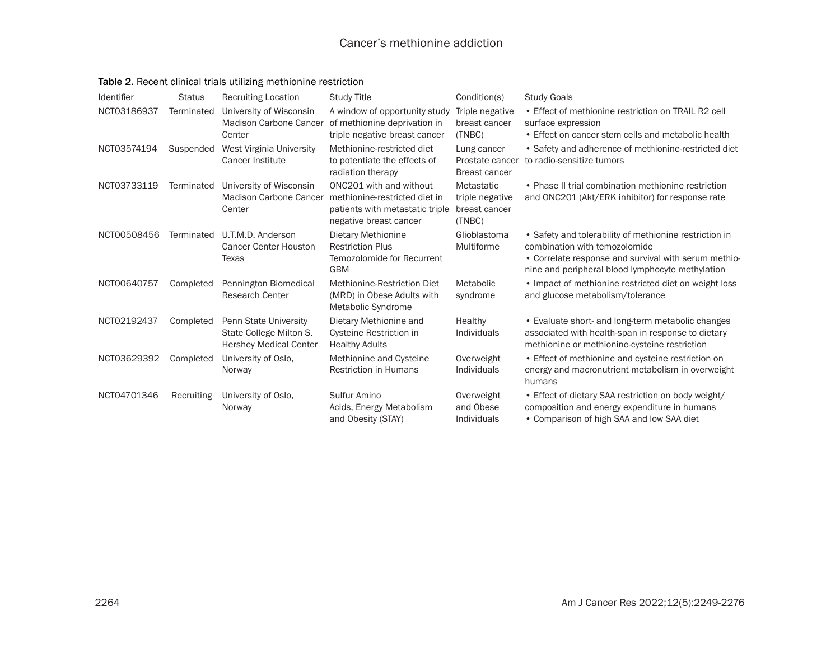| Identifier  | <b>Status</b> | <b>Recruiting Location</b>                                                        | <b>Study Title</b>                                                                                                    | Condition(s)                                             | <b>Study Goals</b>                                                                                                                                                                                  |
|-------------|---------------|-----------------------------------------------------------------------------------|-----------------------------------------------------------------------------------------------------------------------|----------------------------------------------------------|-----------------------------------------------------------------------------------------------------------------------------------------------------------------------------------------------------|
| NCT03186937 | Terminated    | University of Wisconsin<br><b>Madison Carbone Cancer</b><br>Center                | A window of opportunity study<br>of methionine deprivation in<br>triple negative breast cancer                        | Triple negative<br>breast cancer<br>(TNBC)               | • Effect of methionine restriction on TRAIL R2 cell<br>surface expression<br>• Effect on cancer stem cells and metabolic health                                                                     |
| NCT03574194 | Suspended     | West Virginia University<br><b>Cancer Institute</b>                               | Methionine-restricted diet<br>to potentiate the effects of<br>radiation therapy                                       | Lung cancer<br>Prostate cancer<br><b>Breast cancer</b>   | • Safety and adherence of methionine-restricted diet<br>to radio-sensitize tumors                                                                                                                   |
| NCT03733119 | Terminated    | University of Wisconsin<br>Madison Carbone Cancer<br>Center                       | ONC201 with and without<br>methionine-restricted diet in<br>patients with metastatic triple<br>negative breast cancer | Metastatic<br>triple negative<br>breast cancer<br>(TNBC) | • Phase II trial combination methionine restriction<br>and ONC201 (Akt/ERK inhibitor) for response rate                                                                                             |
| NCT00508456 | Terminated    | U.T.M.D. Anderson<br><b>Cancer Center Houston</b><br>Texas                        | <b>Dietary Methionine</b><br><b>Restriction Plus</b><br>Temozolomide for Recurrent<br><b>GBM</b>                      | Glioblastoma<br>Multiforme                               | • Safety and tolerability of methionine restriction in<br>combination with temozolomide<br>• Correlate response and survival with serum methio-<br>nine and peripheral blood lymphocyte methylation |
| NCT00640757 | Completed     | Pennington Biomedical<br><b>Research Center</b>                                   | Methionine-Restriction Diet<br>(MRD) in Obese Adults with<br>Metabolic Syndrome                                       | Metabolic<br>syndrome                                    | • Impact of methionine restricted diet on weight loss<br>and glucose metabolism/tolerance                                                                                                           |
| NCT02192437 | Completed     | Penn State University<br>State College Milton S.<br><b>Hershey Medical Center</b> | Dietary Methionine and<br>Cysteine Restriction in<br><b>Healthy Adults</b>                                            | Healthy<br>Individuals                                   | • Evaluate short- and long-term metabolic changes<br>associated with health-span in response to dietary<br>methionine or methionine-cysteine restriction                                            |
| NCT03629392 | Completed     | University of Oslo,<br>Norway                                                     | Methionine and Cysteine<br><b>Restriction in Humans</b>                                                               | Overweight<br>Individuals                                | • Effect of methionine and cysteine restriction on<br>energy and macronutrient metabolism in overweight<br>humans                                                                                   |
| NCT04701346 | Recruiting    | University of Oslo,<br>Norway                                                     | Sulfur Amino<br>Acids, Energy Metabolism<br>and Obesity (STAY)                                                        | Overweight<br>and Obese<br>Individuals                   | • Effect of dietary SAA restriction on body weight/<br>composition and energy expenditure in humans<br>• Comparison of high SAA and low SAA diet                                                    |

Table 2. Recent clinical trials utilizing methionine restriction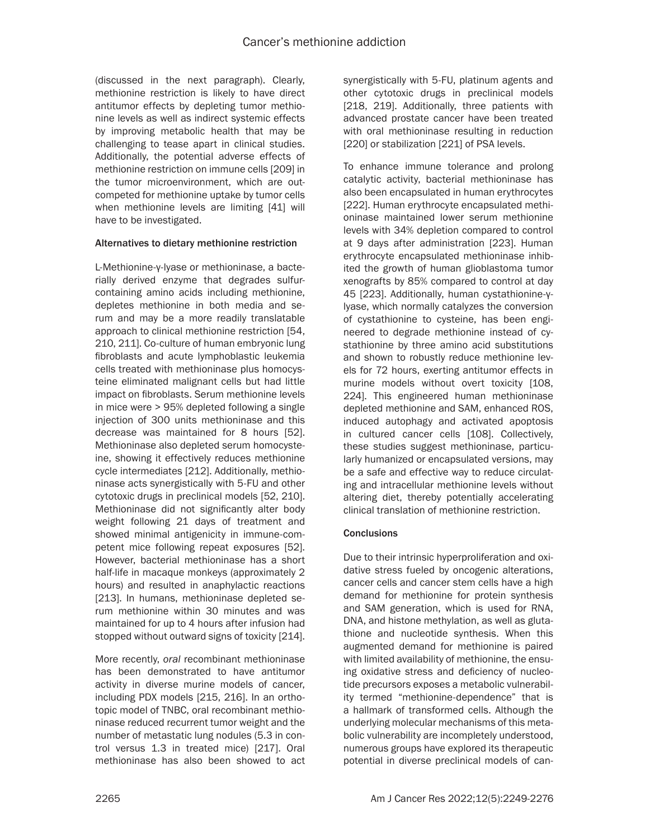(discussed in the next paragraph). Clearly, methionine restriction is likely to have direct antitumor effects by depleting tumor methionine levels as well as indirect systemic effects by improving metabolic health that may be challenging to tease apart in clinical studies. Additionally, the potential adverse effects of methionine restriction on immune cells [209] in the tumor microenvironment, which are outcompeted for methionine uptake by tumor cells when methionine levels are limiting [41] will have to be investigated.

## Alternatives to dietary methionine restriction

L-Methionine-γ-lyase or methioninase, a bacterially derived enzyme that degrades sulfurcontaining amino acids including methionine, depletes methionine in both media and serum and may be a more readily translatable approach to clinical methionine restriction [54, 210, 211]. Co-culture of human embryonic lung fibroblasts and acute lymphoblastic leukemia cells treated with methioninase plus homocysteine eliminated malignant cells but had little impact on fibroblasts. Serum methionine levels in mice were > 95% depleted following a single injection of 300 units methioninase and this decrease was maintained for 8 hours [52]. Methioninase also depleted serum homocysteine, showing it effectively reduces methionine cycle intermediates [212]. Additionally, methioninase acts synergistically with 5-FU and other cytotoxic drugs in preclinical models [52, 210]. Methioninase did not significantly alter body weight following 21 days of treatment and showed minimal antigenicity in immune-competent mice following repeat exposures [52]. However, bacterial methioninase has a short half-life in macaque monkeys (approximately 2 hours) and resulted in anaphylactic reactions [213]. In humans, methioninase depleted serum methionine within 30 minutes and was maintained for up to 4 hours after infusion had stopped without outward signs of toxicity [214].

More recently, *oral* recombinant methioninase has been demonstrated to have antitumor activity in diverse murine models of cancer, including PDX models [215, 216]. In an orthotopic model of TNBC, oral recombinant methioninase reduced recurrent tumor weight and the number of metastatic lung nodules (5.3 in control versus 1.3 in treated mice) [217]. Oral methioninase has also been showed to act

synergistically with 5-FU, platinum agents and other cytotoxic drugs in preclinical models [218, 219]. Additionally, three patients with advanced prostate cancer have been treated with oral methioninase resulting in reduction [220] or stabilization [221] of PSA levels.

To enhance immune tolerance and prolong catalytic activity, bacterial methioninase has also been encapsulated in human erythrocytes [222]. Human erythrocyte encapsulated methioninase maintained lower serum methionine levels with 34% depletion compared to control at 9 days after administration [223]. Human erythrocyte encapsulated methioninase inhibited the growth of human glioblastoma tumor xenografts by 85% compared to control at day 45 [223]. Additionally, human cystathionine-γlyase, which normally catalyzes the conversion of cystathionine to cysteine, has been engineered to degrade methionine instead of cystathionine by three amino acid substitutions and shown to robustly reduce methionine levels for 72 hours, exerting antitumor effects in murine models without overt toxicity [108, 224]. This engineered human methioninase depleted methionine and SAM, enhanced ROS, induced autophagy and activated apoptosis in cultured cancer cells [108]. Collectively, these studies suggest methioninase, particularly humanized or encapsulated versions, may be a safe and effective way to reduce circulating and intracellular methionine levels without altering diet, thereby potentially accelerating clinical translation of methionine restriction.

## **Conclusions**

Due to their intrinsic hyperproliferation and oxidative stress fueled by oncogenic alterations, cancer cells and cancer stem cells have a high demand for methionine for protein synthesis and SAM generation, which is used for RNA, DNA, and histone methylation, as well as glutathione and nucleotide synthesis. When this augmented demand for methionine is paired with limited availability of methionine, the ensuing oxidative stress and deficiency of nucleotide precursors exposes a metabolic vulnerability termed "methionine-dependence" that is a hallmark of transformed cells. Although the underlying molecular mechanisms of this metabolic vulnerability are incompletely understood, numerous groups have explored its therapeutic potential in diverse preclinical models of can-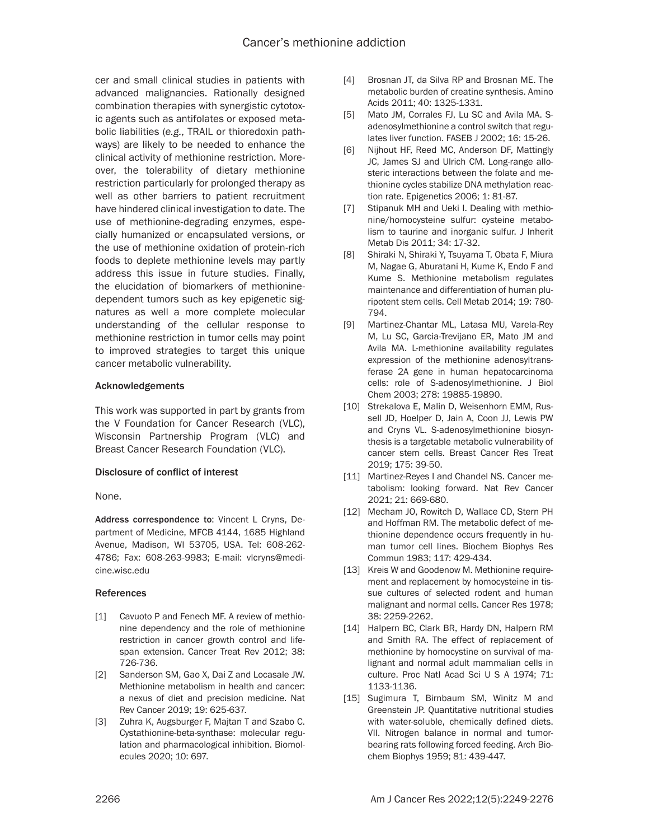cer and small clinical studies in patients with advanced malignancies. Rationally designed combination therapies with synergistic cytotoxic agents such as antifolates or exposed metabolic liabilities (*e.g.*, TRAIL or thioredoxin pathways) are likely to be needed to enhance the clinical activity of methionine restriction. Moreover, the tolerability of dietary methionine restriction particularly for prolonged therapy as well as other barriers to patient recruitment have hindered clinical investigation to date. The use of methionine-degrading enzymes, especially humanized or encapsulated versions, or the use of methionine oxidation of protein-rich foods to deplete methionine levels may partly address this issue in future studies. Finally, the elucidation of biomarkers of methioninedependent tumors such as key epigenetic signatures as well a more complete molecular understanding of the cellular response to methionine restriction in tumor cells may point to improved strategies to target this unique cancer metabolic vulnerability.

## Acknowledgements

This work was supported in part by grants from the V Foundation for Cancer Research (VLC), Wisconsin Partnership Program (VLC) and Breast Cancer Research Foundation (VLC).

## Disclosure of conflict of interest

#### None.

Address correspondence to: Vincent L Cryns, Department of Medicine, MFCB 4144, 1685 Highland Avenue, Madison, WI 53705, USA. Tel: 608-262- 4786; Fax: 608-263-9983; E-mail: [vlcryns@medi](mailto:vlcryns@medicine.wisc.edu)[cine.wisc.edu](mailto:vlcryns@medicine.wisc.edu)

#### References

- [1] Cavuoto P and Fenech MF. A review of methionine dependency and the role of methionine restriction in cancer growth control and lifespan extension. Cancer Treat Rev 2012; 38: 726-736.
- [2] Sanderson SM, Gao X, Dai Z and Locasale JW. Methionine metabolism in health and cancer: a nexus of diet and precision medicine. Nat Rev Cancer 2019; 19: 625-637.
- [3] Zuhra K, Augsburger F, Majtan T and Szabo C. Cystathionine-beta-synthase: molecular regulation and pharmacological inhibition. Biomolecules 2020; 10: 697.
- [4] Brosnan JT, da Silva RP and Brosnan ME. The metabolic burden of creatine synthesis. Amino Acids 2011; 40: 1325-1331.
- [5] Mato JM, Corrales FJ, Lu SC and Avila MA. Sadenosylmethionine a control switch that regulates liver function. FASEB J 2002; 16: 15-26.
- [6] Nijhout HF, Reed MC, Anderson DF, Mattingly JC, James SJ and Ulrich CM. Long-range allosteric interactions between the folate and methionine cycles stabilize DNA methylation reaction rate. Epigenetics 2006; 1: 81-87.
- [7] Stipanuk MH and Ueki I. Dealing with methionine/homocysteine sulfur: cysteine metabolism to taurine and inorganic sulfur. J Inherit Metab Dis 2011; 34: 17-32.
- [8] Shiraki N, Shiraki Y, Tsuyama T, Obata F, Miura M, Nagae G, Aburatani H, Kume K, Endo F and Kume S. Methionine metabolism regulates maintenance and differentiation of human pluripotent stem cells. Cell Metab 2014; 19: 780- 794.
- [9] Martinez-Chantar ML, Latasa MU, Varela-Rey M, Lu SC, Garcia-Trevijano ER, Mato JM and Avila MA. L-methionine availability regulates expression of the methionine adenosyltransferase 2A gene in human hepatocarcinoma cells: role of S-adenosylmethionine. J Biol Chem 2003; 278: 19885-19890.
- [10] Strekalova E, Malin D, Weisenhorn EMM, Russell JD, Hoelper D, Jain A, Coon JJ, Lewis PW and Cryns VL. S-adenosylmethionine biosynthesis is a targetable metabolic vulnerability of cancer stem cells. Breast Cancer Res Treat 2019; 175: 39-50.
- [11] Martinez-Reyes I and Chandel NS. Cancer metabolism: looking forward. Nat Rev Cancer 2021; 21: 669-680.
- [12] Mecham JO, Rowitch D, Wallace CD, Stern PH and Hoffman RM. The metabolic defect of methionine dependence occurs frequently in human tumor cell lines. Biochem Biophys Res Commun 1983; 117: 429-434.
- [13] Kreis W and Goodenow M. Methionine requirement and replacement by homocysteine in tissue cultures of selected rodent and human malignant and normal cells. Cancer Res 1978; 38: 2259-2262.
- [14] Halpern BC, Clark BR, Hardy DN, Halpern RM and Smith RA. The effect of replacement of methionine by homocystine on survival of malignant and normal adult mammalian cells in culture. Proc Natl Acad Sci U S A 1974; 71: 1133-1136.
- [15] Sugimura T, Birnbaum SM, Winitz M and Greenstein JP. Quantitative nutritional studies with water-soluble, chemically defined diets. VII. Nitrogen balance in normal and tumorbearing rats following forced feeding. Arch Biochem Biophys 1959; 81: 439-447.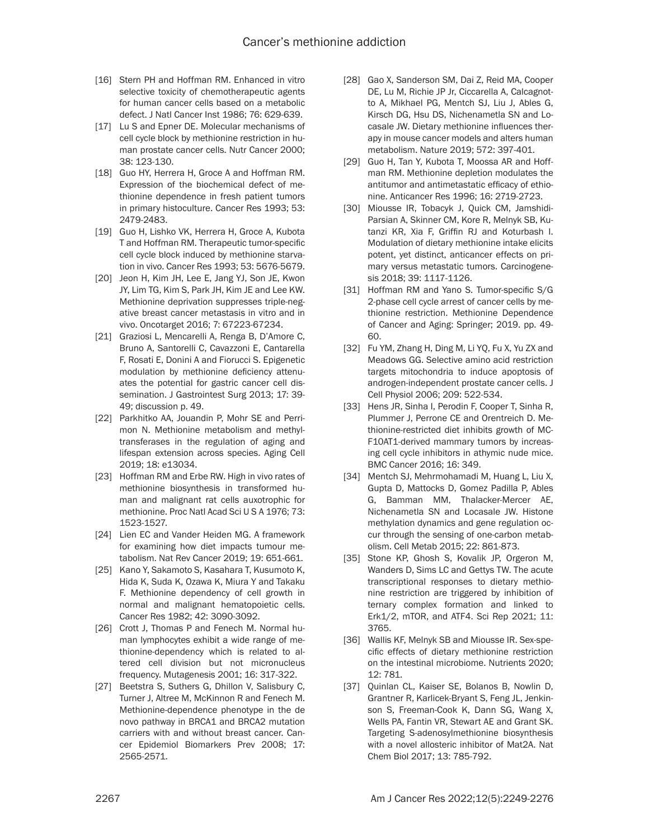- [16] Stern PH and Hoffman RM. Enhanced in vitro selective toxicity of chemotherapeutic agents for human cancer cells based on a metabolic defect. J Natl Cancer Inst 1986; 76: 629-639.
- [17] Lu S and Epner DE. Molecular mechanisms of cell cycle block by methionine restriction in human prostate cancer cells. Nutr Cancer 2000; 38: 123-130.
- [18] Guo HY, Herrera H, Groce A and Hoffman RM. Expression of the biochemical defect of methionine dependence in fresh patient tumors in primary histoculture. Cancer Res 1993; 53: 2479-2483.
- [19] Guo H, Lishko VK, Herrera H, Groce A, Kubota T and Hoffman RM. Therapeutic tumor-specific cell cycle block induced by methionine starvation in vivo. Cancer Res 1993; 53: 5676-5679.
- [20] Jeon H, Kim JH, Lee E, Jang YJ, Son JE, Kwon JY, Lim TG, Kim S, Park JH, Kim JE and Lee KW. Methionine deprivation suppresses triple-negative breast cancer metastasis in vitro and in vivo. Oncotarget 2016; 7: 67223-67234.
- [21] Graziosi L, Mencarelli A, Renga B, D'Amore C, Bruno A, Santorelli C, Cavazzoni E, Cantarella F, Rosati E, Donini A and Fiorucci S. Epigenetic modulation by methionine deficiency attenuates the potential for gastric cancer cell dissemination. J Gastrointest Surg 2013; 17: 39- 49; discussion p. 49.
- [22] Parkhitko AA, Jouandin P, Mohr SE and Perrimon N. Methionine metabolism and methyltransferases in the regulation of aging and lifespan extension across species. Aging Cell 2019; 18: e13034.
- [23] Hoffman RM and Erbe RW. High in vivo rates of methionine biosynthesis in transformed human and malignant rat cells auxotrophic for methionine. Proc Natl Acad Sci U S A 1976; 73: 1523-1527.
- [24] Lien EC and Vander Heiden MG. A framework for examining how diet impacts tumour metabolism. Nat Rev Cancer 2019; 19: 651-661.
- [25] Kano Y, Sakamoto S, Kasahara T, Kusumoto K, Hida K, Suda K, Ozawa K, Miura Y and Takaku F. Methionine dependency of cell growth in normal and malignant hematopoietic cells. Cancer Res 1982; 42: 3090-3092.
- [26] Crott J, Thomas P and Fenech M. Normal human lymphocytes exhibit a wide range of methionine-dependency which is related to altered cell division but not micronucleus frequency. Mutagenesis 2001; 16: 317-322.
- [27] Beetstra S, Suthers G, Dhillon V, Salisbury C, Turner J, Altree M, McKinnon R and Fenech M. Methionine-dependence phenotype in the de novo pathway in BRCA1 and BRCA2 mutation carriers with and without breast cancer. Cancer Epidemiol Biomarkers Prev 2008; 17: 2565-2571.
- [28] Gao X, Sanderson SM, Dai Z, Reid MA, Cooper DE, Lu M, Richie JP Jr, Ciccarella A, Calcagnotto A, Mikhael PG, Mentch SJ, Liu J, Ables G, Kirsch DG, Hsu DS, Nichenametla SN and Locasale JW. Dietary methionine influences therapy in mouse cancer models and alters human metabolism. Nature 2019; 572: 397-401.
- [29] Guo H, Tan Y, Kubota T, Moossa AR and Hoffman RM. Methionine depletion modulates the antitumor and antimetastatic efficacy of ethionine. Anticancer Res 1996; 16: 2719-2723.
- [30] Miousse IR, Tobacyk J, Quick CM, Jamshidi-Parsian A, Skinner CM, Kore R, Melnyk SB, Kutanzi KR, Xia F, Griffin RJ and Koturbash I. Modulation of dietary methionine intake elicits potent, yet distinct, anticancer effects on primary versus metastatic tumors. Carcinogenesis 2018; 39: 1117-1126.
- [31] Hoffman RM and Yano S. Tumor-specific S/G 2-phase cell cycle arrest of cancer cells by methionine restriction. Methionine Dependence of Cancer and Aging: Springer; 2019. pp. 49- 60.
- [32] Fu YM, Zhang H, Ding M, Li YQ, Fu X, Yu ZX and Meadows GG. Selective amino acid restriction targets mitochondria to induce apoptosis of androgen-independent prostate cancer cells. J Cell Physiol 2006; 209: 522-534.
- [33] Hens JR, Sinha I, Perodin F, Cooper T, Sinha R, Plummer J, Perrone CE and Orentreich D. Methionine-restricted diet inhibits growth of MC-F10AT1-derived mammary tumors by increasing cell cycle inhibitors in athymic nude mice. BMC Cancer 2016; 16: 349.
- [34] Mentch SJ, Mehrmohamadi M, Huang L, Liu X, Gupta D, Mattocks D, Gomez Padilla P, Ables G, Bamman MM, Thalacker-Mercer AE, Nichenametla SN and Locasale JW. Histone methylation dynamics and gene regulation occur through the sensing of one-carbon metabolism. Cell Metab 2015; 22: 861-873.
- [35] Stone KP, Ghosh S, Kovalik JP, Orgeron M, Wanders D, Sims LC and Gettys TW. The acute transcriptional responses to dietary methionine restriction are triggered by inhibition of ternary complex formation and linked to Erk1/2, mTOR, and ATF4. Sci Rep 2021; 11: 3765.
- [36] Wallis KF, Melnyk SB and Miousse IR. Sex-specific effects of dietary methionine restriction on the intestinal microbiome. Nutrients 2020; 12: 781.
- [37] Quinlan CL, Kaiser SE, Bolanos B, Nowlin D, Grantner R, Karlicek-Bryant S, Feng JL, Jenkinson S, Freeman-Cook K, Dann SG, Wang X, Wells PA, Fantin VR, Stewart AE and Grant SK. Targeting S-adenosylmethionine biosynthesis with a novel allosteric inhibitor of Mat2A. Nat Chem Biol 2017; 13: 785-792.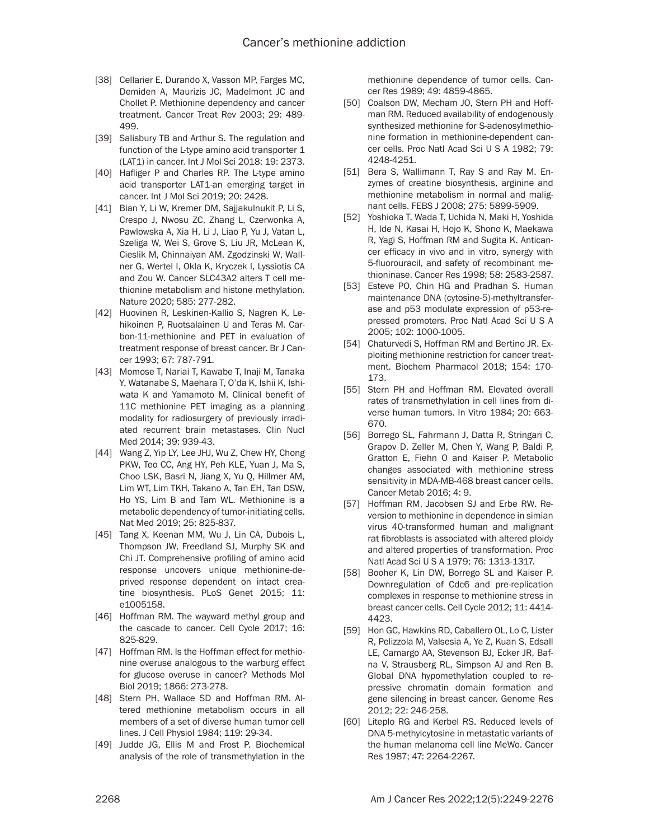- [38] Cellarier E, Durando X, Vasson MP, Farges MC, Demiden A, Maurizis JC, Madelmont JC and Chollet P. Methionine dependency and cancer treatment. Cancer Treat Rev 2003; 29: 489- 499.
- [39] Salisbury TB and Arthur S. The regulation and function of the L-type amino acid transporter 1 (LAT1) in cancer. Int J Mol Sci 2018; 19: 2373.
- [40] Hafliger P and Charles RP. The L-type amino acid transporter LAT1-an emerging target in cancer. Int J Mol Sci 2019; 20: 2428.
- [41] Bian Y, Li W, Kremer DM, Sajjakulnukit P, Li S, Crespo J, Nwosu ZC, Zhang L, Czerwonka A, Pawlowska A, Xia H, Li J, Liao P, Yu J, Vatan L, Szeliga W, Wei S, Grove S, Liu JR, McLean K, Cieslik M, Chinnaiyan AM, Zgodzinski W, Wallner G, Wertel I, Okla K, Kryczek I, Lyssiotis CA and Zou W. Cancer SLC43A2 alters T cell methionine metabolism and histone methylation. Nature 2020; 585: 277-282.
- [42] Huovinen R, Leskinen-Kallio S, Nagren K, Lehikoinen P, Ruotsalainen U and Teras M. Carbon-11-methionine and PET in evaluation of treatment response of breast cancer. Br J Cancer 1993; 67: 787-791.
- [43] Momose T, Nariai T, Kawabe T, Inaji M, Tanaka Y, Watanabe S, Maehara T, O'da K, Ishii K, Ishiwata K and Yamamoto M. Clinical benefit of 11C methionine PET imaging as a planning modality for radiosurgery of previously irradiated recurrent brain metastases. Clin Nucl Med 2014; 39: 939-43.
- [44] Wang Z, Yip LY, Lee JHJ, Wu Z, Chew HY, Chong PKW, Teo CC, Ang HY, Peh KLE, Yuan J, Ma S, Choo LSK, Basri N, Jiang X, Yu Q, Hillmer AM, Lim WT, Lim TKH, Takano A, Tan EH, Tan DSW, Ho YS, Lim B and Tam WL. Methionine is a metabolic dependency of tumor-initiating cells. Nat Med 2019; 25: 825-837.
- [45] Tang X, Keenan MM, Wu J, Lin CA, Dubois L, Thompson JW, Freedland SJ, Murphy SK and Chi JT. Comprehensive profiling of amino acid response uncovers unique methionine-deprived response dependent on intact creatine biosynthesis. PLoS Genet 2015; 11: e1005158.
- [46] Hoffman RM. The wayward methyl group and the cascade to cancer. Cell Cycle 2017; 16: 825-829.
- [47] Hoffman RM. Is the Hoffman effect for methionine overuse analogous to the warburg effect for glucose overuse in cancer? Methods Mol Biol 2019; 1866: 273-278.
- [48] Stern PH, Wallace SD and Hoffman RM. Altered methionine metabolism occurs in all members of a set of diverse human tumor cell lines. J Cell Physiol 1984; 119: 29-34.
- [49] Judde JG, Ellis M and Frost P. Biochemical analysis of the role of transmethylation in the

methionine dependence of tumor cells. Cancer Res 1989; 49: 4859-4865.

- [50] Coalson DW, Mecham JO, Stern PH and Hoffman RM. Reduced availability of endogenously synthesized methionine for S-adenosylmethionine formation in methionine-dependent cancer cells. Proc Natl Acad Sci U S A 1982; 79: 4248-4251.
- [51] Bera S, Wallimann T, Ray S and Ray M. Enzymes of creatine biosynthesis, arginine and methionine metabolism in normal and malignant cells. FEBS J 2008; 275: 5899-5909.
- [52] Yoshioka T, Wada T, Uchida N, Maki H, Yoshida H, Ide N, Kasai H, Hojo K, Shono K, Maekawa R, Yagi S, Hoffman RM and Sugita K. Anticancer efficacy in vivo and in vitro, synergy with 5-fluorouracil, and safety of recombinant methioninase. Cancer Res 1998; 58: 2583-2587.
- [53] Esteve PO, Chin HG and Pradhan S. Human maintenance DNA (cytosine-5)-methyltransferase and p53 modulate expression of p53-repressed promoters. Proc Natl Acad Sci U S A 2005; 102: 1000-1005.
- [54] Chaturvedi S, Hoffman RM and Bertino JR. Exploiting methionine restriction for cancer treatment. Biochem Pharmacol 2018; 154: 170- 173.
- [55] Stern PH and Hoffman RM. Elevated overall rates of transmethylation in cell lines from diverse human tumors. In Vitro 1984; 20: 663- 670.
- [56] Borrego SL, Fahrmann J, Datta R, Stringari C, Grapov D, Zeller M, Chen Y, Wang P, Baldi P, Gratton E, Fiehn O and Kaiser P. Metabolic changes associated with methionine stress sensitivity in MDA-MB-468 breast cancer cells. Cancer Metab 2016; 4: 9.
- [57] Hoffman RM, Jacobsen SJ and Erbe RW. Reversion to methionine in dependence in simian virus 40-transformed human and malignant rat fibroblasts is associated with altered ploidy and altered properties of transformation. Proc Natl Acad Sci U S A 1979; 76: 1313-1317.
- [58] Booher K, Lin DW, Borrego SL and Kaiser P. Downregulation of Cdc6 and pre-replication complexes in response to methionine stress in breast cancer cells. Cell Cycle 2012; 11: 4414- 4423.
- [59] Hon GC, Hawkins RD, Caballero OL, Lo C, Lister R, Pelizzola M, Valsesia A, Ye Z, Kuan S, Edsall LE, Camargo AA, Stevenson BJ, Ecker JR, Bafna V, Strausberg RL, Simpson AJ and Ren B. Global DNA hypomethylation coupled to repressive chromatin domain formation and gene silencing in breast cancer. Genome Res 2012; 22: 246-258.
- [60] Liteplo RG and Kerbel RS. Reduced levels of DNA 5-methylcytosine in metastatic variants of the human melanoma cell line MeWo. Cancer Res 1987; 47: 2264-2267.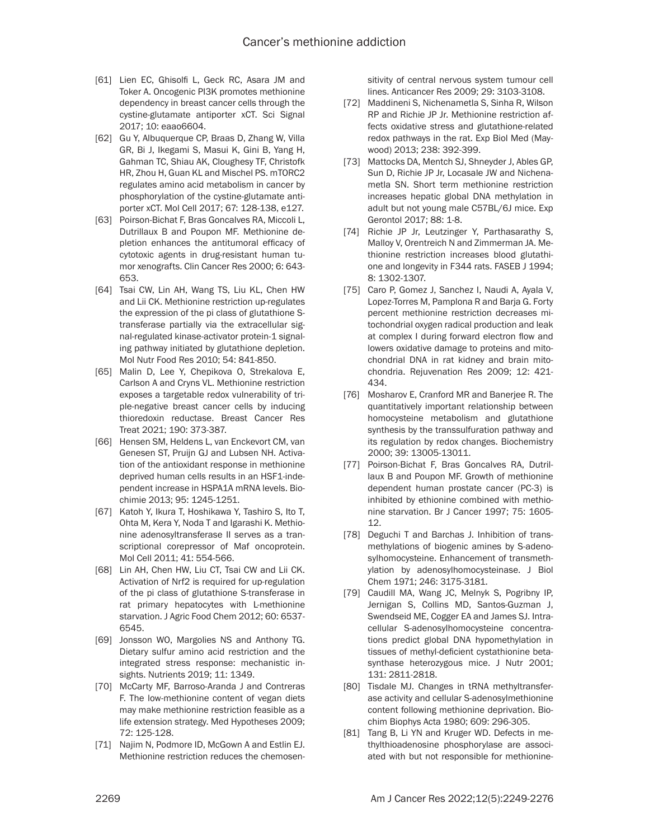- [61] Lien EC, Ghisolfi L, Geck RC, Asara JM and Toker A. Oncogenic PI3K promotes methionine dependency in breast cancer cells through the cystine-glutamate antiporter xCT. Sci Signal 2017; 10: eaao6604.
- [62] Gu Y, Albuquerque CP, Braas D, Zhang W, Villa GR, Bi J, Ikegami S, Masui K, Gini B, Yang H, Gahman TC, Shiau AK, Cloughesy TF, Christofk HR, Zhou H, Guan KL and Mischel PS. mTORC2 regulates amino acid metabolism in cancer by phosphorylation of the cystine-glutamate antiporter xCT. Mol Cell 2017; 67: 128-138, e127.
- [63] Poirson-Bichat F, Bras Goncalves RA, Miccoli L, Dutrillaux B and Poupon MF. Methionine depletion enhances the antitumoral efficacy of cytotoxic agents in drug-resistant human tumor xenografts. Clin Cancer Res 2000; 6: 643- 653.
- [64] Tsai CW, Lin AH, Wang TS, Liu KL, Chen HW and Lii CK. Methionine restriction up-regulates the expression of the pi class of glutathione Stransferase partially via the extracellular signal-regulated kinase-activator protein-1 signaling pathway initiated by glutathione depletion. Mol Nutr Food Res 2010; 54: 841-850.
- [65] Malin D, Lee Y, Chepikova O, Strekalova E, Carlson A and Cryns VL. Methionine restriction exposes a targetable redox vulnerability of triple-negative breast cancer cells by inducing thioredoxin reductase. Breast Cancer Res Treat 2021; 190: 373-387.
- [66] Hensen SM, Heldens L, van Enckevort CM, van Genesen ST, Pruijn GJ and Lubsen NH. Activation of the antioxidant response in methionine deprived human cells results in an HSF1-independent increase in HSPA1A mRNA levels. Biochimie 2013; 95: 1245-1251.
- [67] Katoh Y, Ikura T, Hoshikawa Y, Tashiro S, Ito T, Ohta M, Kera Y, Noda T and Igarashi K. Methionine adenosyltransferase II serves as a transcriptional corepressor of Maf oncoprotein. Mol Cell 2011; 41: 554-566.
- [68] Lin AH, Chen HW, Liu CT, Tsai CW and Lii CK. Activation of Nrf2 is required for up-regulation of the pi class of glutathione S-transferase in rat primary hepatocytes with L-methionine starvation. J Agric Food Chem 2012; 60: 6537- 6545.
- [69] Jonsson WO, Margolies NS and Anthony TG. Dietary sulfur amino acid restriction and the integrated stress response: mechanistic insights. Nutrients 2019; 11: 1349.
- [70] McCarty MF, Barroso-Aranda J and Contreras F. The low-methionine content of vegan diets may make methionine restriction feasible as a life extension strategy. Med Hypotheses 2009; 72: 125-128.
- [71] Najim N, Podmore ID, McGown A and Estlin EJ. Methionine restriction reduces the chemosen-

sitivity of central nervous system tumour cell lines. Anticancer Res 2009; 29: 3103-3108.

- [72] Maddineni S, Nichenametla S, Sinha R, Wilson RP and Richie JP Jr. Methionine restriction affects oxidative stress and glutathione-related redox pathways in the rat. Exp Biol Med (Maywood) 2013; 238: 392-399.
- [73] Mattocks DA, Mentch SJ, Shneyder J, Ables GP, Sun D, Richie JP Jr, Locasale JW and Nichenametla SN. Short term methionine restriction increases hepatic global DNA methylation in adult but not young male C57BL/6J mice. Exp Gerontol 2017; 88: 1-8.
- [74] Richie JP Jr, Leutzinger Y, Parthasarathy S, Malloy V, Orentreich N and Zimmerman JA. Methionine restriction increases blood glutathione and longevity in F344 rats. FASEB J 1994; 8: 1302-1307.
- [75] Caro P, Gomez J, Sanchez I, Naudi A, Ayala V, Lopez-Torres M, Pamplona R and Barja G. Forty percent methionine restriction decreases mitochondrial oxygen radical production and leak at complex I during forward electron flow and lowers oxidative damage to proteins and mitochondrial DNA in rat kidney and brain mitochondria. Rejuvenation Res 2009; 12: 421- 434.
- [76] Mosharov E, Cranford MR and Banerjee R. The quantitatively important relationship between homocysteine metabolism and glutathione synthesis by the transsulfuration pathway and its regulation by redox changes. Biochemistry 2000; 39: 13005-13011.
- [77] Poirson-Bichat F, Bras Goncalves RA, Dutrillaux B and Poupon MF. Growth of methionine dependent human prostate cancer (PC-3) is inhibited by ethionine combined with methionine starvation. Br J Cancer 1997; 75: 1605- 12.
- [78] Deguchi T and Barchas J. Inhibition of transmethylations of biogenic amines by S-adenosylhomocysteine. Enhancement of transmethylation by adenosylhomocysteinase. J Biol Chem 1971; 246: 3175-3181.
- [79] Caudill MA, Wang JC, Melnyk S, Pogribny IP, Jernigan S, Collins MD, Santos-Guzman J, Swendseid ME, Cogger EA and James SJ. Intracellular S-adenosylhomocysteine concentrations predict global DNA hypomethylation in tissues of methyl-deficient cystathionine betasynthase heterozygous mice. J Nutr 2001; 131: 2811-2818.
- [80] Tisdale MJ. Changes in tRNA methyltransferase activity and cellular S-adenosylmethionine content following methionine deprivation. Biochim Biophys Acta 1980; 609: 296-305.
- [81] Tang B, Li YN and Kruger WD. Defects in methylthioadenosine phosphorylase are associated with but not responsible for methionine-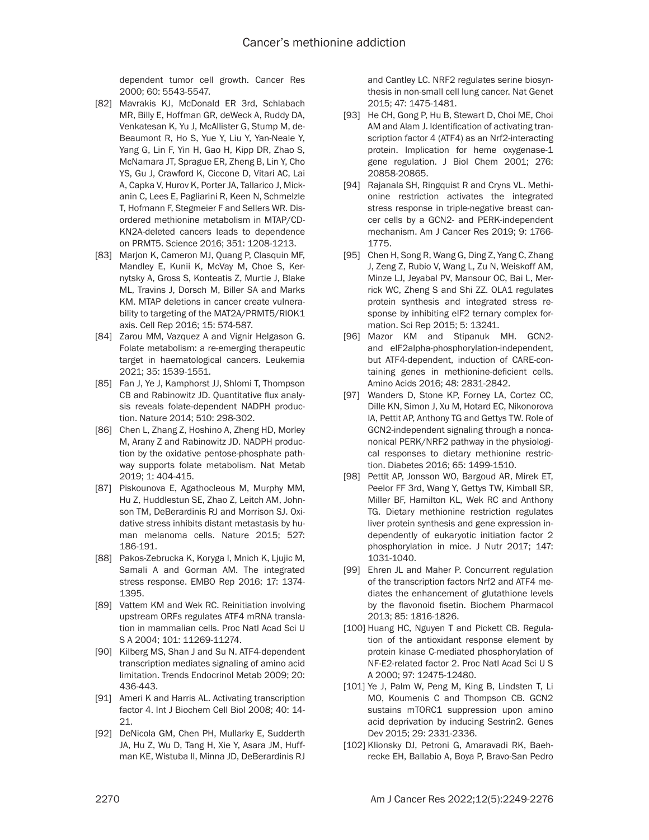dependent tumor cell growth. Cancer Res 2000; 60: 5543-5547.

- [82] Mavrakis KJ, McDonald ER 3rd, Schlabach MR, Billy E, Hoffman GR, deWeck A, Ruddy DA, Venkatesan K, Yu J, McAllister G, Stump M, de-Beaumont R, Ho S, Yue Y, Liu Y, Yan-Neale Y, Yang G, Lin F, Yin H, Gao H, Kipp DR, Zhao S, McNamara JT, Sprague ER, Zheng B, Lin Y, Cho YS, Gu J, Crawford K, Ciccone D, Vitari AC, Lai A, Capka V, Hurov K, Porter JA, Tallarico J, Mickanin C, Lees E, Pagliarini R, Keen N, Schmelzle T, Hofmann F, Stegmeier F and Sellers WR. Disordered methionine metabolism in MTAP/CD-KN2A-deleted cancers leads to dependence on PRMT5. Science 2016; 351: 1208-1213.
- [83] Marjon K, Cameron MJ, Quang P, Clasquin MF, Mandley E, Kunii K, McVay M, Choe S, Kernytsky A, Gross S, Konteatis Z, Murtie J, Blake ML, Travins J, Dorsch M, Biller SA and Marks KM. MTAP deletions in cancer create vulnerability to targeting of the MAT2A/PRMT5/RIOK1 axis. Cell Rep 2016; 15: 574-587.
- [84] Zarou MM, Vazquez A and Vignir Helgason G. Folate metabolism: a re-emerging therapeutic target in haematological cancers. Leukemia 2021; 35: 1539-1551.
- [85] Fan J, Ye J, Kamphorst JJ, Shlomi T, Thompson CB and Rabinowitz JD. Quantitative flux analysis reveals folate-dependent NADPH production. Nature 2014; 510: 298-302.
- [86] Chen L, Zhang Z, Hoshino A, Zheng HD, Morley M, Arany Z and Rabinowitz JD. NADPH production by the oxidative pentose-phosphate pathway supports folate metabolism. Nat Metab 2019; 1: 404-415.
- [87] Piskounova E, Agathocleous M, Murphy MM, Hu Z, Huddlestun SE, Zhao Z, Leitch AM, Johnson TM, DeBerardinis RJ and Morrison SJ. Oxidative stress inhibits distant metastasis by human melanoma cells. Nature 2015; 527: 186-191.
- [88] Pakos-Zebrucka K, Koryga I, Mnich K, Ljujic M, Samali A and Gorman AM. The integrated stress response. EMBO Rep 2016; 17: 1374- 1395.
- [89] Vattem KM and Wek RC. Reinitiation involving upstream ORFs regulates ATF4 mRNA translation in mammalian cells. Proc Natl Acad Sci U S A 2004; 101: 11269-11274.
- [90] Kilberg MS, Shan J and Su N. ATF4-dependent transcription mediates signaling of amino acid limitation. Trends Endocrinol Metab 2009; 20: 436-443.
- [91] Ameri K and Harris AL. Activating transcription factor 4. Int J Biochem Cell Biol 2008; 40: 14- 21.
- [92] DeNicola GM, Chen PH, Mullarky E, Sudderth JA, Hu Z, Wu D, Tang H, Xie Y, Asara JM, Huffman KE, Wistuba II, Minna JD, DeBerardinis RJ

and Cantley LC. NRF2 regulates serine biosynthesis in non-small cell lung cancer. Nat Genet 2015; 47: 1475-1481.

- [93] He CH, Gong P, Hu B, Stewart D, Choi ME, Choi AM and Alam J. Identification of activating transcription factor 4 (ATF4) as an Nrf2-interacting protein. Implication for heme oxygenase-1 gene regulation. J Biol Chem 2001; 276: 20858-20865.
- [94] Rajanala SH, Ringquist R and Cryns VL. Methionine restriction activates the integrated stress response in triple-negative breast cancer cells by a GCN2- and PERK-independent mechanism. Am J Cancer Res 2019; 9: 1766- 1775.
- [95] Chen H, Song R, Wang G, Ding Z, Yang C, Zhang J, Zeng Z, Rubio V, Wang L, Zu N, Weiskoff AM, Minze LJ, Jeyabal PV, Mansour OC, Bai L, Merrick WC, Zheng S and Shi ZZ. OLA1 regulates protein synthesis and integrated stress response by inhibiting eIF2 ternary complex formation. Sci Rep 2015; 5: 13241.
- [96] Mazor KM and Stipanuk MH. GCN2 and eIF2alpha-phosphorylation-independent, but ATF4-dependent, induction of CARE-containing genes in methionine-deficient cells. Amino Acids 2016; 48: 2831-2842.
- [97] Wanders D, Stone KP, Forney LA, Cortez CC, Dille KN, Simon J, Xu M, Hotard EC, Nikonorova IA, Pettit AP, Anthony TG and Gettys TW. Role of GCN2-independent signaling through a noncanonical PERK/NRF2 pathway in the physiological responses to dietary methionine restriction. Diabetes 2016; 65: 1499-1510.
- [98] Pettit AP, Jonsson WO, Bargoud AR, Mirek ET, Peelor FF 3rd, Wang Y, Gettys TW, Kimball SR, Miller BF, Hamilton KL, Wek RC and Anthony TG. Dietary methionine restriction regulates liver protein synthesis and gene expression independently of eukaryotic initiation factor 2 phosphorylation in mice. J Nutr 2017; 147: 1031-1040.
- [99] Ehren JL and Maher P. Concurrent regulation of the transcription factors Nrf2 and ATF4 mediates the enhancement of glutathione levels by the flavonoid fisetin. Biochem Pharmacol 2013; 85: 1816-1826.
- [100] Huang HC, Nguyen T and Pickett CB. Regulation of the antioxidant response element by protein kinase C-mediated phosphorylation of NF-E2-related factor 2. Proc Natl Acad Sci U S A 2000; 97: 12475-12480.
- [101] Ye J, Palm W, Peng M, King B, Lindsten T, Li MO, Koumenis C and Thompson CB. GCN2 sustains mTORC1 suppression upon amino acid deprivation by inducing Sestrin2. Genes Dev 2015; 29: 2331-2336.
- [102] Klionsky DJ, Petroni G, Amaravadi RK, Baehrecke EH, Ballabio A, Boya P, Bravo-San Pedro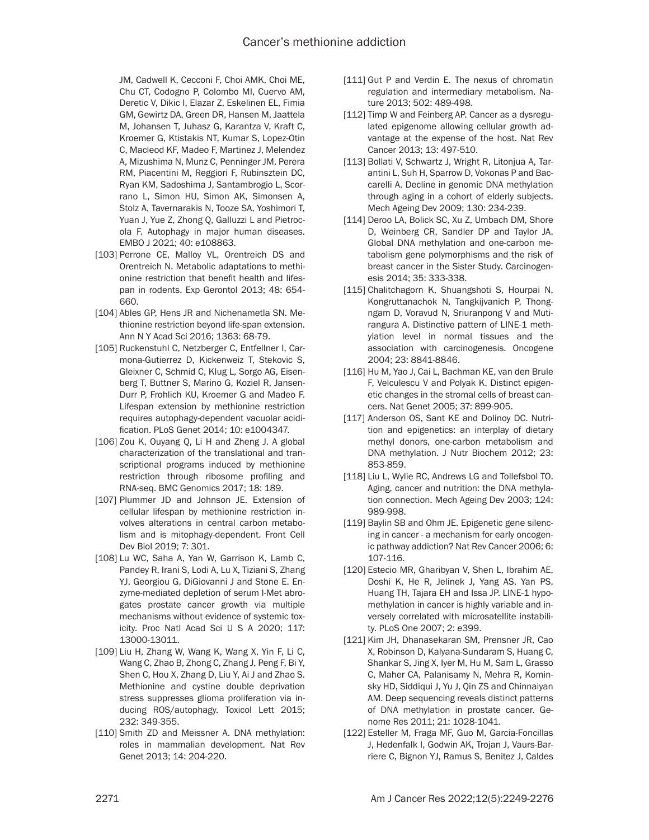JM, Cadwell K, Cecconi F, Choi AMK, Choi ME, Chu CT, Codogno P, Colombo MI, Cuervo AM, Deretic V, Dikic I, Elazar Z, Eskelinen EL, Fimia GM, Gewirtz DA, Green DR, Hansen M, Jaattela M, Johansen T, Juhasz G, Karantza V, Kraft C, Kroemer G, Ktistakis NT, Kumar S, Lopez-Otin C, Macleod KF, Madeo F, Martinez J, Melendez A, Mizushima N, Munz C, Penninger JM, Perera RM, Piacentini M, Reggiori F, Rubinsztein DC, Ryan KM, Sadoshima J, Santambrogio L, Scorrano L, Simon HU, Simon AK, Simonsen A, Stolz A, Tavernarakis N, Tooze SA, Yoshimori T, Yuan J, Yue Z, Zhong Q, Galluzzi L and Pietrocola F. Autophagy in major human diseases. EMBO J 2021; 40: e108863.

- [103] Perrone CE, Malloy VL, Orentreich DS and Orentreich N. Metabolic adaptations to methionine restriction that benefit health and lifespan in rodents. Exp Gerontol 2013; 48: 654- 660.
- [104] Ables GP, Hens JR and Nichenametla SN. Methionine restriction beyond life-span extension. Ann N Y Acad Sci 2016; 1363: 68-79.
- [105] Ruckenstuhl C, Netzberger C, Entfellner I, Carmona-Gutierrez D, Kickenweiz T, Stekovic S, Gleixner C, Schmid C, Klug L, Sorgo AG, Eisenberg T, Buttner S, Marino G, Koziel R, Jansen-Durr P, Frohlich KU, Kroemer G and Madeo F. Lifespan extension by methionine restriction requires autophagy-dependent vacuolar acidification. PLoS Genet 2014; 10: e1004347.
- [106] Zou K, Ouyang Q, Li H and Zheng J. A global characterization of the translational and transcriptional programs induced by methionine restriction through ribosome profiling and RNA-seq. BMC Genomics 2017; 18: 189.
- [107] Plummer JD and Johnson JE. Extension of cellular lifespan by methionine restriction involves alterations in central carbon metabolism and is mitophagy-dependent. Front Cell Dev Biol 2019; 7: 301.
- [108] Lu WC, Saha A, Yan W, Garrison K, Lamb C, Pandey R, Irani S, Lodi A, Lu X, Tiziani S, Zhang YJ, Georgiou G, DiGiovanni J and Stone E. Enzyme-mediated depletion of serum l-Met abrogates prostate cancer growth via multiple mechanisms without evidence of systemic toxicity. Proc Natl Acad Sci U S A 2020; 117: 13000-13011.
- [109] Liu H, Zhang W, Wang K, Wang X, Yin F, Li C, Wang C, Zhao B, Zhong C, Zhang J, Peng F, Bi Y, Shen C, Hou X, Zhang D, Liu Y, Ai J and Zhao S. Methionine and cystine double deprivation stress suppresses glioma proliferation via inducing ROS/autophagy. Toxicol Lett 2015; 232: 349-355.
- [110] Smith ZD and Meissner A. DNA methylation: roles in mammalian development. Nat Rev Genet 2013; 14: 204-220.
- [111] Gut P and Verdin E. The nexus of chromatin regulation and intermediary metabolism. Nature 2013; 502: 489-498.
- [112] Timp W and Feinberg AP. Cancer as a dysregulated epigenome allowing cellular growth advantage at the expense of the host. Nat Rev Cancer 2013; 13: 497-510.
- [113] Bollati V, Schwartz J, Wright R, Litonjua A, Tarantini L, Suh H, Sparrow D, Vokonas P and Baccarelli A. Decline in genomic DNA methylation through aging in a cohort of elderly subjects. Mech Ageing Dev 2009; 130: 234-239.
- [114] Deroo LA, Bolick SC, Xu Z, Umbach DM, Shore D, Weinberg CR, Sandler DP and Taylor JA. Global DNA methylation and one-carbon metabolism gene polymorphisms and the risk of breast cancer in the Sister Study. Carcinogenesis 2014; 35: 333-338.
- [115] Chalitchagorn K, Shuangshoti S, Hourpai N, Kongruttanachok N, Tangkijvanich P, Thongngam D, Voravud N, Sriuranpong V and Mutirangura A. Distinctive pattern of LINE-1 methylation level in normal tissues and the association with carcinogenesis. Oncogene 2004; 23: 8841-8846.
- [116] Hu M, Yao J, Cai L, Bachman KE, van den Brule F, Velculescu V and Polyak K. Distinct epigenetic changes in the stromal cells of breast cancers. Nat Genet 2005; 37: 899-905.
- [117] Anderson OS, Sant KE and Dolinoy DC. Nutrition and epigenetics: an interplay of dietary methyl donors, one-carbon metabolism and DNA methylation. J Nutr Biochem 2012; 23: 853-859.
- [118] Liu L, Wylie RC, Andrews LG and Tollefsbol TO. Aging, cancer and nutrition: the DNA methylation connection. Mech Ageing Dev 2003; 124: 989-998.
- [119] Baylin SB and Ohm JE. Epigenetic gene silencing in cancer - a mechanism for early oncogenic pathway addiction? Nat Rev Cancer 2006; 6: 107-116.
- [120] Estecio MR, Gharibyan V, Shen L, Ibrahim AE, Doshi K, He R, Jelinek J, Yang AS, Yan PS, Huang TH, Tajara EH and Issa JP. LINE-1 hypomethylation in cancer is highly variable and inversely correlated with microsatellite instability. PLoS One 2007; 2: e399.
- [121] Kim JH, Dhanasekaran SM, Prensner JR, Cao X, Robinson D, Kalyana-Sundaram S, Huang C, Shankar S, Jing X, Iyer M, Hu M, Sam L, Grasso C, Maher CA, Palanisamy N, Mehra R, Kominsky HD, Siddiqui J, Yu J, Qin ZS and Chinnaiyan AM. Deep sequencing reveals distinct patterns of DNA methylation in prostate cancer. Genome Res 2011; 21: 1028-1041.
- [122] Esteller M, Fraga MF, Guo M, Garcia-Foncillas J, Hedenfalk I, Godwin AK, Trojan J, Vaurs-Barriere C, Bignon YJ, Ramus S, Benitez J, Caldes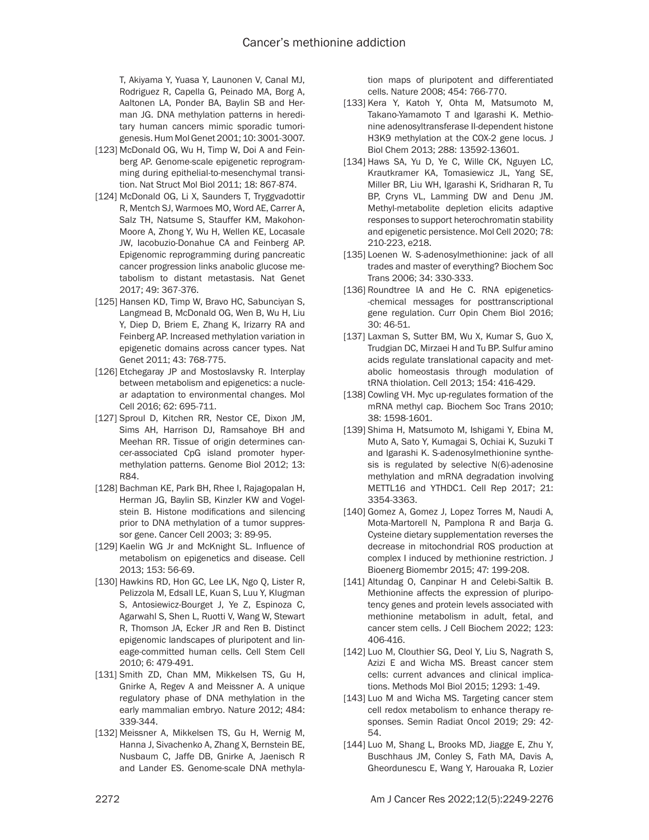T, Akiyama Y, Yuasa Y, Launonen V, Canal MJ, Rodriguez R, Capella G, Peinado MA, Borg A, Aaltonen LA, Ponder BA, Baylin SB and Herman JG. DNA methylation patterns in hereditary human cancers mimic sporadic tumorigenesis. Hum Mol Genet 2001; 10: 3001-3007.

- [123] McDonald OG, Wu H, Timp W, Doi A and Feinberg AP. Genome-scale epigenetic reprogramming during epithelial-to-mesenchymal transition. Nat Struct Mol Biol 2011; 18: 867-874.
- [124] McDonald OG, Li X, Saunders T, Tryggvadottir R, Mentch SJ, Warmoes MO, Word AE, Carrer A, Salz TH, Natsume S, Stauffer KM, Makohon-Moore A, Zhong Y, Wu H, Wellen KE, Locasale JW, Iacobuzio-Donahue CA and Feinberg AP. Epigenomic reprogramming during pancreatic cancer progression links anabolic glucose metabolism to distant metastasis. Nat Genet 2017; 49: 367-376.
- [125] Hansen KD, Timp W, Bravo HC, Sabunciyan S, Langmead B, McDonald OG, Wen B, Wu H, Liu Y, Diep D, Briem E, Zhang K, Irizarry RA and Feinberg AP. Increased methylation variation in epigenetic domains across cancer types. Nat Genet 2011; 43: 768-775.
- [126] Etchegaray JP and Mostoslavsky R. Interplay between metabolism and epigenetics: a nuclear adaptation to environmental changes. Mol Cell 2016; 62: 695-711.
- [127] Sproul D, Kitchen RR, Nestor CE, Dixon JM, Sims AH, Harrison DJ, Ramsahoye BH and Meehan RR. Tissue of origin determines cancer-associated CpG island promoter hypermethylation patterns. Genome Biol 2012; 13: R84.
- [128] Bachman KE, Park BH, Rhee I, Rajagopalan H, Herman JG, Baylin SB, Kinzler KW and Vogelstein B. Histone modifications and silencing prior to DNA methylation of a tumor suppressor gene. Cancer Cell 2003; 3: 89-95.
- [129] Kaelin WG Jr and McKnight SL. Influence of metabolism on epigenetics and disease. Cell 2013; 153: 56-69.
- [130] Hawkins RD, Hon GC, Lee LK, Ngo Q, Lister R, Pelizzola M, Edsall LE, Kuan S, Luu Y, Klugman S, Antosiewicz-Bourget J, Ye Z, Espinoza C, Agarwahl S, Shen L, Ruotti V, Wang W, Stewart R, Thomson JA, Ecker JR and Ren B. Distinct epigenomic landscapes of pluripotent and lineage-committed human cells. Cell Stem Cell 2010; 6: 479-491.
- [131] Smith ZD, Chan MM, Mikkelsen TS, Gu H, Gnirke A, Regev A and Meissner A. A unique regulatory phase of DNA methylation in the early mammalian embryo. Nature 2012; 484: 339-344.
- [132] Meissner A, Mikkelsen TS, Gu H, Wernig M, Hanna J, Sivachenko A, Zhang X, Bernstein BE, Nusbaum C, Jaffe DB, Gnirke A, Jaenisch R and Lander ES. Genome-scale DNA methyla-

tion maps of pluripotent and differentiated cells. Nature 2008; 454: 766-770.

- [133] Kera Y, Katoh Y, Ohta M, Matsumoto M, Takano-Yamamoto T and Igarashi K. Methionine adenosyltransferase II-dependent histone H3K9 methylation at the COX-2 gene locus. J Biol Chem 2013; 288: 13592-13601.
- [134] Haws SA, Yu D, Ye C, Wille CK, Nguyen LC, Krautkramer KA, Tomasiewicz JL, Yang SE, Miller BR, Liu WH, Igarashi K, Sridharan R, Tu BP, Cryns VL, Lamming DW and Denu JM. Methyl-metabolite depletion elicits adaptive responses to support heterochromatin stability and epigenetic persistence. Mol Cell 2020; 78: 210-223, e218.
- [135] Loenen W. S-adenosylmethionine: jack of all trades and master of everything? Biochem Soc Trans 2006; 34: 330-333.
- [136] Roundtree IA and He C. RNA epigenetics--chemical messages for posttranscriptional gene regulation. Curr Opin Chem Biol 2016; 30: 46-51.
- [137] Laxman S, Sutter BM, Wu X, Kumar S, Guo X, Trudgian DC, Mirzaei H and Tu BP. Sulfur amino acids regulate translational capacity and metabolic homeostasis through modulation of tRNA thiolation. Cell 2013; 154: 416-429.
- [138] Cowling VH. Myc up-regulates formation of the mRNA methyl cap. Biochem Soc Trans 2010; 38: 1598-1601.
- [139] Shima H, Matsumoto M, Ishigami Y, Ebina M, Muto A, Sato Y, Kumagai S, Ochiai K, Suzuki T and Igarashi K. S-adenosylmethionine synthesis is regulated by selective N(6)-adenosine methylation and mRNA degradation involving METTL16 and YTHDC1. Cell Rep 2017; 21: 3354-3363.
- [140] Gomez A, Gomez J, Lopez Torres M, Naudi A, Mota-Martorell N, Pamplona R and Barja G. Cysteine dietary supplementation reverses the decrease in mitochondrial ROS production at complex I induced by methionine restriction. J Bioenerg Biomembr 2015; 47: 199-208.
- [141] Altundag O, Canpinar H and Celebi-Saltik B. Methionine affects the expression of pluripotency genes and protein levels associated with methionine metabolism in adult, fetal, and cancer stem cells. J Cell Biochem 2022; 123: 406-416.
- [142] Luo M, Clouthier SG, Deol Y, Liu S, Nagrath S, Azizi E and Wicha MS. Breast cancer stem cells: current advances and clinical implications. Methods Mol Biol 2015; 1293: 1-49.
- [143] Luo M and Wicha MS. Targeting cancer stem cell redox metabolism to enhance therapy responses. Semin Radiat Oncol 2019; 29: 42- 54.
- [144] Luo M, Shang L, Brooks MD, Jiagge E, Zhu Y, Buschhaus JM, Conley S, Fath MA, Davis A, Gheordunescu E, Wang Y, Harouaka R, Lozier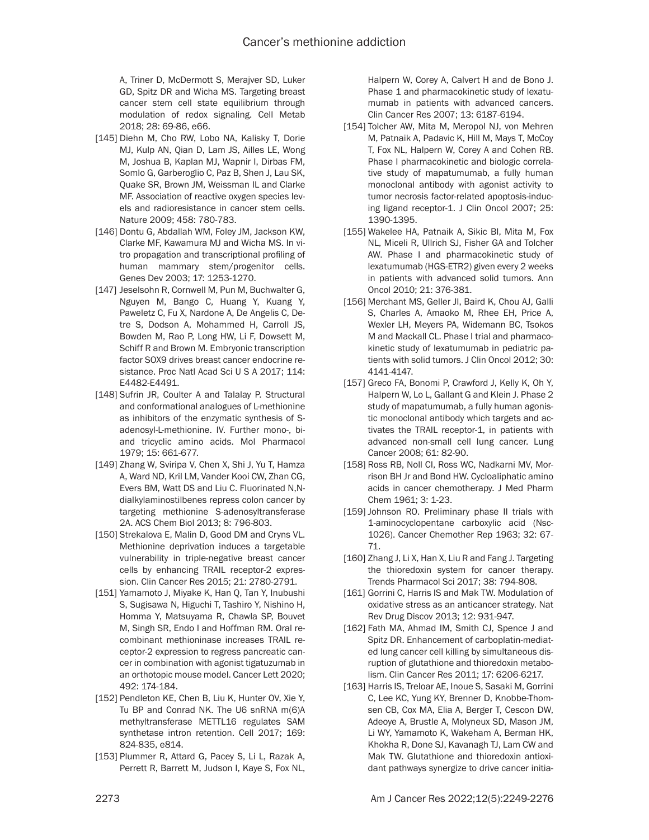A, Triner D, McDermott S, Merajver SD, Luker GD, Spitz DR and Wicha MS. Targeting breast cancer stem cell state equilibrium through modulation of redox signaling. Cell Metab 2018; 28: 69-86, e66.

- [145] Diehn M, Cho RW, Lobo NA, Kalisky T, Dorie MJ, Kulp AN, Qian D, Lam JS, Ailles LE, Wong M, Joshua B, Kaplan MJ, Wapnir I, Dirbas FM, Somlo G, Garberoglio C, Paz B, Shen J, Lau SK, Quake SR, Brown JM, Weissman IL and Clarke MF. Association of reactive oxygen species levels and radioresistance in cancer stem cells. Nature 2009; 458: 780-783.
- [146] Dontu G, Abdallah WM, Foley JM, Jackson KW, Clarke MF, Kawamura MJ and Wicha MS. In vitro propagation and transcriptional profiling of human mammary stem/progenitor cells. Genes Dev 2003; 17: 1253-1270.
- [147] Jeselsohn R, Cornwell M, Pun M, Buchwalter G, Nguyen M, Bango C, Huang Y, Kuang Y, Paweletz C, Fu X, Nardone A, De Angelis C, Detre S, Dodson A, Mohammed H, Carroll JS, Bowden M, Rao P, Long HW, Li F, Dowsett M, Schiff R and Brown M. Embryonic transcription factor SOX9 drives breast cancer endocrine resistance. Proc Natl Acad Sci U S A 2017; 114: E4482-E4491.
- [148] Sufrin JR, Coulter A and Talalay P. Structural and conformational analogues of L-methionine as inhibitors of the enzymatic synthesis of Sadenosyl-L-methionine. IV. Further mono-, biand tricyclic amino acids. Mol Pharmacol 1979; 15: 661-677.
- [149] Zhang W, Sviripa V, Chen X, Shi J, Yu T, Hamza A, Ward ND, Kril LM, Vander Kooi CW, Zhan CG, Evers BM, Watt DS and Liu C. Fluorinated N,Ndialkylaminostilbenes repress colon cancer by targeting methionine S-adenosyltransferase 2A. ACS Chem Biol 2013; 8: 796-803.
- [150] Strekalova E, Malin D, Good DM and Cryns VL. Methionine deprivation induces a targetable vulnerability in triple-negative breast cancer cells by enhancing TRAIL receptor-2 expression. Clin Cancer Res 2015; 21: 2780-2791.
- [151] Yamamoto J, Miyake K, Han Q, Tan Y, Inubushi S, Sugisawa N, Higuchi T, Tashiro Y, Nishino H, Homma Y, Matsuyama R, Chawla SP, Bouvet M, Singh SR, Endo I and Hoffman RM. Oral recombinant methioninase increases TRAIL receptor-2 expression to regress pancreatic cancer in combination with agonist tigatuzumab in an orthotopic mouse model. Cancer Lett 2020; 492: 174-184.
- [152] Pendleton KE, Chen B, Liu K, Hunter OV, Xie Y, Tu BP and Conrad NK. The U6 snRNA m(6)A methyltransferase METTL16 regulates SAM synthetase intron retention. Cell 2017; 169: 824-835, e814.
- [153] Plummer R, Attard G, Pacey S, Li L, Razak A, Perrett R, Barrett M, Judson I, Kaye S, Fox NL,

Halpern W, Corey A, Calvert H and de Bono J. Phase 1 and pharmacokinetic study of lexatumumab in patients with advanced cancers. Clin Cancer Res 2007; 13: 6187-6194.

- [154] Tolcher AW, Mita M, Meropol NJ, von Mehren M, Patnaik A, Padavic K, Hill M, Mays T, McCoy T, Fox NL, Halpern W, Corey A and Cohen RB. Phase I pharmacokinetic and biologic correlative study of mapatumumab, a fully human monoclonal antibody with agonist activity to tumor necrosis factor-related apoptosis-inducing ligand receptor-1. J Clin Oncol 2007; 25: 1390-1395.
- [155] Wakelee HA, Patnaik A, Sikic BI, Mita M, Fox NL, Miceli R, Ullrich SJ, Fisher GA and Tolcher AW. Phase I and pharmacokinetic study of lexatumumab (HGS-ETR2) given every 2 weeks in patients with advanced solid tumors. Ann Oncol 2010; 21: 376-381.
- [156] Merchant MS, Geller JI, Baird K, Chou AJ, Galli S, Charles A, Amaoko M, Rhee EH, Price A, Wexler LH, Meyers PA, Widemann BC, Tsokos M and Mackall CL. Phase I trial and pharmacokinetic study of lexatumumab in pediatric patients with solid tumors. J Clin Oncol 2012; 30: 4141-4147.
- [157] Greco FA, Bonomi P, Crawford J, Kelly K, Oh Y, Halpern W, Lo L, Gallant G and Klein J. Phase 2 study of mapatumumab, a fully human agonistic monoclonal antibody which targets and activates the TRAIL receptor-1, in patients with advanced non-small cell lung cancer. Lung Cancer 2008; 61: 82-90.
- [158] Ross RB, Noll Cl, Ross WC, Nadkarni MV, Morrison BH Jr and Bond HW. Cycloaliphatic amino acids in cancer chemotherapy. J Med Pharm Chem 1961; 3: 1-23.
- [159] Johnson RO. Preliminary phase II trials with 1-aminocyclopentane carboxylic acid (Nsc-1026). Cancer Chemother Rep 1963; 32: 67- 71.
- [160] Zhang J, Li X, Han X, Liu R and Fang J. Targeting the thioredoxin system for cancer therapy. Trends Pharmacol Sci 2017; 38: 794-808.
- [161] Gorrini C, Harris IS and Mak TW. Modulation of oxidative stress as an anticancer strategy. Nat Rev Drug Discov 2013; 12: 931-947.
- [162] Fath MA, Ahmad IM, Smith CJ, Spence J and Spitz DR. Enhancement of carboplatin-mediated lung cancer cell killing by simultaneous disruption of glutathione and thioredoxin metabolism. Clin Cancer Res 2011; 17: 6206-6217.
- [163] Harris IS, Treloar AE, Inoue S, Sasaki M, Gorrini C, Lee KC, Yung KY, Brenner D, Knobbe-Thomsen CB, Cox MA, Elia A, Berger T, Cescon DW, Adeoye A, Brustle A, Molyneux SD, Mason JM, Li WY, Yamamoto K, Wakeham A, Berman HK, Khokha R, Done SJ, Kavanagh TJ, Lam CW and Mak TW. Glutathione and thioredoxin antioxidant pathways synergize to drive cancer initia-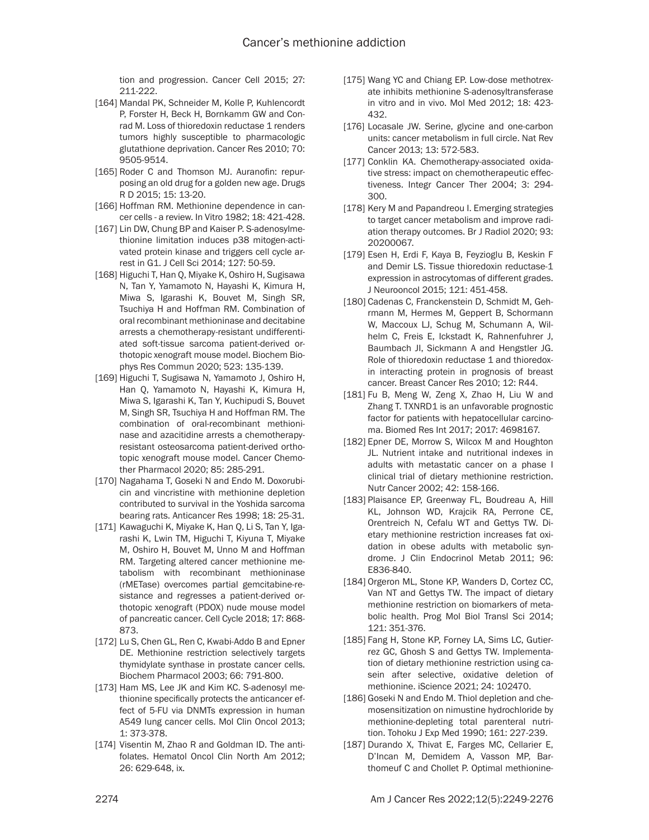tion and progression. Cancer Cell 2015; 27: 211-222.

- [164] Mandal PK, Schneider M, Kolle P, Kuhlencordt P, Forster H, Beck H, Bornkamm GW and Conrad M. Loss of thioredoxin reductase 1 renders tumors highly susceptible to pharmacologic glutathione deprivation. Cancer Res 2010; 70: 9505-9514.
- [165] Roder C and Thomson MJ. Auranofin: repurposing an old drug for a golden new age. Drugs R D 2015; 15: 13-20.
- [166] Hoffman RM. Methionine dependence in cancer cells - a review. In Vitro 1982; 18: 421-428.
- [167] Lin DW, Chung BP and Kaiser P. S-adenosylmethionine limitation induces p38 mitogen-activated protein kinase and triggers cell cycle arrest in G1. J Cell Sci 2014; 127: 50-59.
- [168] Higuchi T, Han Q, Miyake K, Oshiro H, Sugisawa N, Tan Y, Yamamoto N, Hayashi K, Kimura H, Miwa S, Igarashi K, Bouvet M, Singh SR, Tsuchiya H and Hoffman RM. Combination of oral recombinant methioninase and decitabine arrests a chemotherapy-resistant undifferentiated soft-tissue sarcoma patient-derived orthotopic xenograft mouse model. Biochem Biophys Res Commun 2020; 523: 135-139.
- [169] Higuchi T, Sugisawa N, Yamamoto J, Oshiro H, Han Q, Yamamoto N, Hayashi K, Kimura H, Miwa S, Igarashi K, Tan Y, Kuchipudi S, Bouvet M, Singh SR, Tsuchiya H and Hoffman RM. The combination of oral-recombinant methioninase and azacitidine arrests a chemotherapyresistant osteosarcoma patient-derived orthotopic xenograft mouse model. Cancer Chemother Pharmacol 2020; 85: 285-291.
- [170] Nagahama T, Goseki N and Endo M. Doxorubicin and vincristine with methionine depletion contributed to survival in the Yoshida sarcoma bearing rats. Anticancer Res 1998; 18: 25-31.
- [171] Kawaguchi K, Miyake K, Han Q, Li S, Tan Y, Igarashi K, Lwin TM, Higuchi T, Kiyuna T, Miyake M, Oshiro H, Bouvet M, Unno M and Hoffman RM. Targeting altered cancer methionine metabolism with recombinant methioninase (rMETase) overcomes partial gemcitabine-resistance and regresses a patient-derived orthotopic xenograft (PDOX) nude mouse model of pancreatic cancer. Cell Cycle 2018; 17: 868- 873.
- [172] Lu S, Chen GL, Ren C, Kwabi-Addo B and Epner DE. Methionine restriction selectively targets thymidylate synthase in prostate cancer cells. Biochem Pharmacol 2003; 66: 791-800.
- [173] Ham MS, Lee JK and Kim KC. S-adenosyl methionine specifically protects the anticancer effect of 5-FU via DNMTs expression in human A549 lung cancer cells. Mol Clin Oncol 2013; 1: 373-378.
- [174] Visentin M, Zhao R and Goldman ID. The antifolates. Hematol Oncol Clin North Am 2012; 26: 629-648, ix.
- [175] Wang YC and Chiang EP. Low-dose methotrexate inhibits methionine S-adenosyltransferase in vitro and in vivo. Mol Med 2012; 18: 423- 432.
- [176] Locasale JW. Serine, glycine and one-carbon units: cancer metabolism in full circle. Nat Rev Cancer 2013; 13: 572-583.
- [177] Conklin KA. Chemotherapy-associated oxidative stress: impact on chemotherapeutic effectiveness. Integr Cancer Ther 2004; 3: 294- 300.
- [178] Kery M and Papandreou I. Emerging strategies to target cancer metabolism and improve radiation therapy outcomes. Br J Radiol 2020; 93: 20200067.
- [179] Esen H, Erdi F, Kaya B, Feyzioglu B, Keskin F and Demir LS. Tissue thioredoxin reductase-1 expression in astrocytomas of different grades. J Neurooncol 2015; 121: 451-458.
- [180] Cadenas C, Franckenstein D, Schmidt M, Gehrmann M, Hermes M, Geppert B, Schormann W, Maccoux LJ, Schug M, Schumann A, Wilhelm C, Freis E, Ickstadt K, Rahnenfuhrer J, Baumbach JI, Sickmann A and Hengstler JG. Role of thioredoxin reductase 1 and thioredoxin interacting protein in prognosis of breast cancer. Breast Cancer Res 2010; 12: R44.
- [181] Fu B, Meng W, Zeng X, Zhao H, Liu W and Zhang T. TXNRD1 is an unfavorable prognostic factor for patients with hepatocellular carcinoma. Biomed Res Int 2017; 2017: 4698167.
- [182] Epner DE, Morrow S, Wilcox M and Houghton JL. Nutrient intake and nutritional indexes in adults with metastatic cancer on a phase I clinical trial of dietary methionine restriction. Nutr Cancer 2002; 42: 158-166.
- [183] Plaisance EP, Greenway FL, Boudreau A, Hill KL, Johnson WD, Krajcik RA, Perrone CE, Orentreich N, Cefalu WT and Gettys TW. Dietary methionine restriction increases fat oxidation in obese adults with metabolic syndrome. J Clin Endocrinol Metab 2011; 96: E836-840.
- [184] Orgeron ML, Stone KP, Wanders D, Cortez CC, Van NT and Gettys TW. The impact of dietary methionine restriction on biomarkers of metabolic health. Prog Mol Biol Transl Sci 2014; 121: 351-376.
- [185] Fang H, Stone KP, Forney LA, Sims LC, Gutierrez GC, Ghosh S and Gettys TW. Implementation of dietary methionine restriction using casein after selective, oxidative deletion of methionine. iScience 2021; 24: 102470.
- [186] Goseki N and Endo M. Thiol depletion and chemosensitization on nimustine hydrochloride by methionine-depleting total parenteral nutrition. Tohoku J Exp Med 1990; 161: 227-239.
- [187] Durando X, Thivat E, Farges MC, Cellarier E, D'Incan M, Demidem A, Vasson MP, Barthomeuf C and Chollet P. Optimal methionine-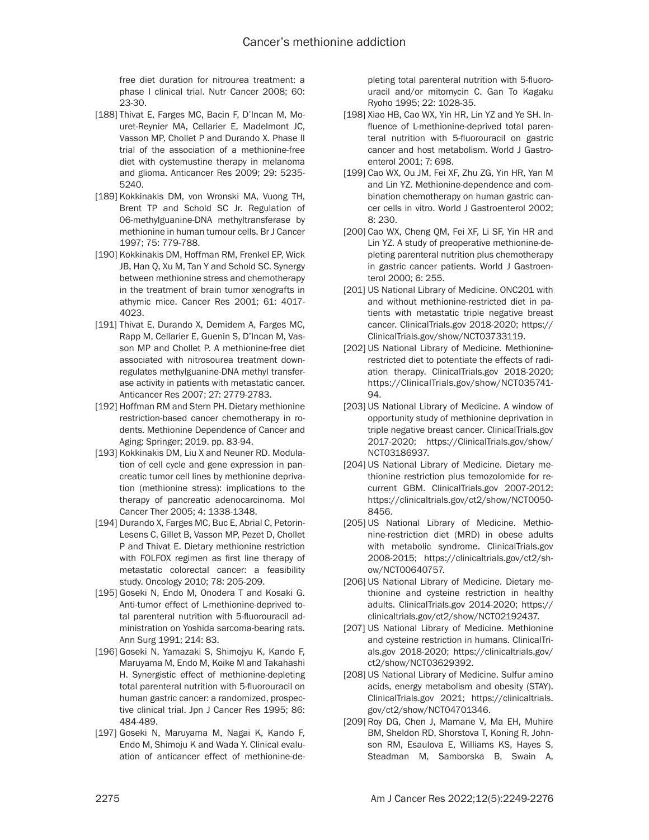free diet duration for nitrourea treatment: a phase I clinical trial. Nutr Cancer 2008; 60: 23-30.

- [188] Thivat E, Farges MC, Bacin F, D'Incan M, Mouret-Reynier MA, Cellarier E, Madelmont JC, Vasson MP, Chollet P and Durando X. Phase II trial of the association of a methionine-free diet with cystemustine therapy in melanoma and glioma. Anticancer Res 2009; 29: 5235- 5240.
- [189] Kokkinakis DM, von Wronski MA, Vuong TH, Brent TP and Schold SC Jr. Regulation of 06-methylguanine-DNA methyltransferase by methionine in human tumour cells. Br J Cancer 1997; 75: 779-788.
- [190] Kokkinakis DM, Hoffman RM, Frenkel EP, Wick JB, Han Q, Xu M, Tan Y and Schold SC. Synergy between methionine stress and chemotherapy in the treatment of brain tumor xenografts in athymic mice. Cancer Res 2001; 61: 4017- 4023.
- [191] Thivat E, Durando X, Demidem A, Farges MC, Rapp M, Cellarier E, Guenin S, D'Incan M, Vasson MP and Chollet P. A methionine-free diet associated with nitrosourea treatment downregulates methylguanine-DNA methyl transferase activity in patients with metastatic cancer. Anticancer Res 2007; 27: 2779-2783.
- [192] Hoffman RM and Stern PH. Dietary methionine restriction-based cancer chemotherapy in rodents. Methionine Dependence of Cancer and Aging: Springer; 2019. pp. 83-94.
- [193] Kokkinakis DM, Liu X and Neuner RD. Modulation of cell cycle and gene expression in pancreatic tumor cell lines by methionine deprivation (methionine stress): implications to the therapy of pancreatic adenocarcinoma. Mol Cancer Ther 2005; 4: 1338-1348.
- [194] Durando X, Farges MC, Buc E, Abrial C, Petorin-Lesens C, Gillet B, Vasson MP, Pezet D, Chollet P and Thivat E. Dietary methionine restriction with FOLFOX regimen as first line therapy of metastatic colorectal cancer: a feasibility study. Oncology 2010; 78: 205-209.
- [195] Goseki N, Endo M, Onodera T and Kosaki G. Anti-tumor effect of L-methionine-deprived total parenteral nutrition with 5-fluorouracil administration on Yoshida sarcoma-bearing rats. Ann Surg 1991; 214: 83.
- [196] Goseki N, Yamazaki S, Shimojyu K, Kando F, Maruyama M, Endo M, Koike M and Takahashi H. Synergistic effect of methionine-depleting total parenteral nutrition with 5-fluorouracil on human gastric cancer: a randomized, prospective clinical trial. Jpn J Cancer Res 1995; 86: 484-489.
- [197] Goseki N, Maruyama M, Nagai K, Kando F, Endo M, Shimoju K and Wada Y. Clinical evaluation of anticancer effect of methionine-de-

pleting total parenteral nutrition with 5-fluorouracil and/or mitomycin C. Gan To Kagaku Ryoho 1995; 22: 1028-35.

- [198] Xiao HB, Cao WX, Yin HR, Lin YZ and Ye SH. Influence of L-methionine-deprived total parenteral nutrition with 5-fluorouracil on gastric cancer and host metabolism. World J Gastroenterol 2001; 7: 698.
- [199] Cao WX, Ou JM, Fei XF, Zhu ZG, Yin HR, Yan M and Lin YZ. Methionine-dependence and combination chemotherapy on human gastric cancer cells in vitro. World J Gastroenterol 2002; 8: 230.
- [200] Cao WX, Cheng QM, Fei XF, Li SF, Yin HR and Lin YZ. A study of preoperative methionine-depleting parenteral nutrition plus chemotherapy in gastric cancer patients. World J Gastroenterol 2000; 6: 255.
- [201] US National Library of Medicine. ONC201 with and without methionine-restricted diet in patients with metastatic triple negative breast cancer. ClinicalTrials.gov 2018-2020; https:// ClinicalTrials.gov/show/NCT03733119.
- [202] US National Library of Medicine. Methioninerestricted diet to potentiate the effects of radiation therapy. ClinicalTrials.gov 2018-2020; https://ClinicalTrials.gov/show/NCT035741- 94.
- [203] US National Library of Medicine. A window of opportunity study of methionine deprivation in triple negative breast cancer. ClinicalTrials.gov 2017-2020; https://ClinicalTrials.gov/show/ NCT03186937.
- [204] US National Library of Medicine. Dietary methionine restriction plus temozolomide for recurrent GBM. ClinicalTrials.gov 2007-2012; https://clinicaltrials.gov/ct2/show/NCT0050- 8456.
- [205] US National Library of Medicine. Methionine-restriction diet (MRD) in obese adults with metabolic syndrome. ClinicalTrials.gov 2008-2015; https://clinicaltrials.gov/ct2/show/NCT00640757.
- [206] US National Library of Medicine. Dietary methionine and cysteine restriction in healthy adults. ClinicalTrials.gov 2014-2020; https:// clinicaltrials.gov/ct2/show/NCT02192437.
- [207] US National Library of Medicine. Methionine and cysteine restriction in humans. ClinicalTrials.gov 2018-2020; https://clinicaltrials.gov/ ct2/show/NCT03629392.
- [208] US National Library of Medicine. Sulfur amino acids, energy metabolism and obesity (STAY). ClinicalTrials.gov 2021; https://clinicaltrials. gov/ct2/show/NCT04701346.
- [209] Roy DG, Chen J, Mamane V, Ma EH, Muhire BM, Sheldon RD, Shorstova T, Koning R, Johnson RM, Esaulova E, Williams KS, Hayes S, Steadman M, Samborska B, Swain A,